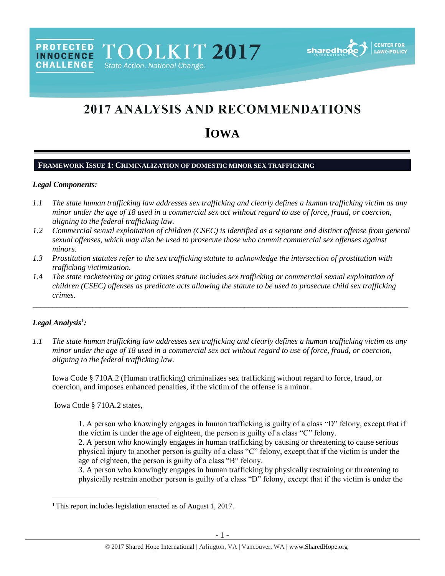# 2017 ANALYSIS AND RECOMMENDATIONS

# **IOWA**

#### **FRAMEWORK ISSUE 1: CRIMINALIZATION OF DOMESTIC MINOR SEX TRAFFICKING**

PROTECTED TOOLKIT 2017

State Action. National Change.

#### *Legal Components:*

**CHALLENGE** 

- *1.1 The state human trafficking law addresses sex trafficking and clearly defines a human trafficking victim as any minor under the age of 18 used in a commercial sex act without regard to use of force, fraud, or coercion, aligning to the federal trafficking law.*
- *1.2 Commercial sexual exploitation of children (CSEC) is identified as a separate and distinct offense from general sexual offenses, which may also be used to prosecute those who commit commercial sex offenses against minors.*
- *1.3 Prostitution statutes refer to the sex trafficking statute to acknowledge the intersection of prostitution with trafficking victimization.*
- *1.4 The state racketeering or gang crimes statute includes sex trafficking or commercial sexual exploitation of children (CSEC) offenses as predicate acts allowing the statute to be used to prosecute child sex trafficking crimes.*

\_\_\_\_\_\_\_\_\_\_\_\_\_\_\_\_\_\_\_\_\_\_\_\_\_\_\_\_\_\_\_\_\_\_\_\_\_\_\_\_\_\_\_\_\_\_\_\_\_\_\_\_\_\_\_\_\_\_\_\_\_\_\_\_\_\_\_\_\_\_\_\_\_\_\_\_\_\_\_\_\_\_\_\_\_\_\_\_\_\_\_\_\_\_

## *Legal Analysis*<sup>1</sup> *:*

 $\overline{a}$ 

*1.1 The state human trafficking law addresses sex trafficking and clearly defines a human trafficking victim as any minor under the age of 18 used in a commercial sex act without regard to use of force, fraud, or coercion, aligning to the federal trafficking law.*

Iowa Code § 710A.2 (Human trafficking) criminalizes sex trafficking without regard to force, fraud, or coercion, and imposes enhanced penalties, if the victim of the offense is a minor.

Iowa Code § 710A.2 states,

1. A person who knowingly engages in human trafficking is guilty of a class "D" felony, except that if the victim is under the age of eighteen, the person is guilty of a class "C" felony.

2. A person who knowingly engages in human trafficking by causing or threatening to cause serious physical injury to another person is guilty of a class "C" felony, except that if the victim is under the age of eighteen, the person is guilty of a class "B" felony.

3. A person who knowingly engages in human trafficking by physically restraining or threatening to physically restrain another person is guilty of a class "D" felony, except that if the victim is under the

<sup>&</sup>lt;sup>1</sup> This report includes legislation enacted as of August 1, 2017.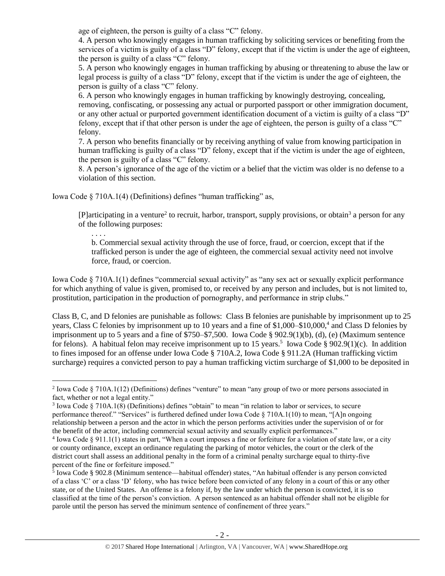age of eighteen, the person is guilty of a class "C" felony.

4. A person who knowingly engages in human trafficking by soliciting services or benefiting from the services of a victim is guilty of a class "D" felony, except that if the victim is under the age of eighteen, the person is guilty of a class "C" felony.

5. A person who knowingly engages in human trafficking by abusing or threatening to abuse the law or legal process is guilty of a class "D" felony, except that if the victim is under the age of eighteen, the person is guilty of a class "C" felony.

6. A person who knowingly engages in human trafficking by knowingly destroying, concealing, removing, confiscating, or possessing any actual or purported passport or other immigration document, or any other actual or purported government identification document of a victim is guilty of a class "D" felony, except that if that other person is under the age of eighteen, the person is guilty of a class "C" felony.

7. A person who benefits financially or by receiving anything of value from knowing participation in human trafficking is guilty of a class "D" felony, except that if the victim is under the age of eighteen, the person is guilty of a class "C" felony.

8. A person's ignorance of the age of the victim or a belief that the victim was older is no defense to a violation of this section.

Iowa Code § 710A.1(4) (Definitions) defines "human trafficking" as,

<span id="page-1-1"></span>. . . .

 $\overline{a}$ 

[P]articipating in a venture<sup>2</sup> to recruit, harbor, transport, supply provisions, or obtain<sup>3</sup> a person for any of the following purposes:

<span id="page-1-0"></span>b. Commercial sexual activity through the use of force, fraud, or coercion, except that if the trafficked person is under the age of eighteen, the commercial sexual activity need not involve force, fraud, or coercion.

Iowa Code § 710A.1(1) defines "commercial sexual activity" as "any sex act or sexually explicit performance for which anything of value is given, promised to, or received by any person and includes, but is not limited to, prostitution, participation in the production of pornography, and performance in strip clubs."

Class B, C, and D felonies are punishable as follows: Class B felonies are punishable by imprisonment up to 25 years, Class C felonies by imprisonment up to 10 years and a fine of \$1,000–\$10,000,<sup>4</sup> and Class D felonies by imprisonment up to 5 years and a fine of \$750–\$7,500. Iowa Code § 902.9(1)(b), (d), (e) (Maximum sentence for felons). A habitual felon may receive imprisonment up to 15 years.<sup>5</sup> Iowa Code § 902.9(1)(c). In addition to fines imposed for an offense under Iowa Code § 710A.2, Iowa Code § 911.2A (Human trafficking victim surcharge) requires a convicted person to pay a human trafficking victim surcharge of \$1,000 to be deposited in

<sup>&</sup>lt;sup>2</sup> Iowa Code § 710A.1(12) (Definitions) defines "venture" to mean "any group of two or more persons associated in fact, whether or not a legal entity."

<sup>3</sup> Iowa Code § 710A.1(8) (Definitions) defines "obtain" to mean "in relation to labor or services, to secure performance thereof." "Services" is furthered defined under Iowa Code § 710A.1(10) to mean, "[A]n ongoing relationship between a person and the actor in which the person performs activities under the supervision of or for the benefit of the actor, including commercial sexual activity and sexually explicit performances."

<sup>&</sup>lt;sup>4</sup> Iowa Code § 911.1(1) states in part, "When a court imposes a fine or forfeiture for a violation of state law, or a city or county ordinance, except an ordinance regulating the parking of motor vehicles, the court or the clerk of the district court shall assess an additional penalty in the form of a criminal penalty surcharge equal to thirty-five percent of the fine or forfeiture imposed."

<sup>5</sup> Iowa Code § 902.8 (Minimum sentence—habitual offender) states, "An habitual offender is any person convicted of a class 'C' or a class 'D' felony, who has twice before been convicted of any felony in a court of this or any other state, or of the United States. An offense is a felony if, by the law under which the person is convicted, it is so classified at the time of the person's conviction. A person sentenced as an habitual offender shall not be eligible for parole until the person has served the minimum sentence of confinement of three years."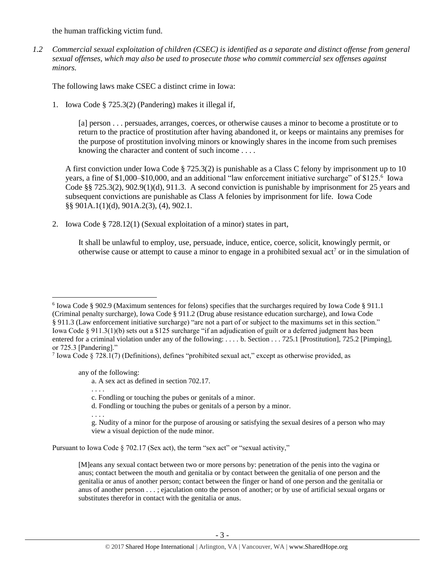the human trafficking victim fund.

*1.2 Commercial sexual exploitation of children (CSEC) is identified as a separate and distinct offense from general sexual offenses, which may also be used to prosecute those who commit commercial sex offenses against minors.*

The following laws make CSEC a distinct crime in Iowa:

1. Iowa Code § 725.3(2) (Pandering) makes it illegal if,

<span id="page-2-1"></span>[a] person . . . persuades, arranges, coerces, or otherwise causes a minor to become a prostitute or to return to the practice of prostitution after having abandoned it, or keeps or maintains any premises for the purpose of prostitution involving minors or knowingly shares in the income from such premises knowing the character and content of such income . . . .

A first conviction under Iowa Code § 725.3(2) is punishable as a Class C felony by imprisonment up to 10 years, a fine of \$1,000–\$10,000, and an additional "law enforcement initiative surcharge" of \$125.<sup>6</sup> Iowa Code §§ 725.3(2), 902.9(1)(d), 911.3. A second conviction is punishable by imprisonment for 25 years and subsequent convictions are punishable as Class A felonies by imprisonment for life. Iowa Code §§ 901A.1(1)(d), 901A.2(3), (4), 902.1.

2. Iowa Code § 728.12(1) (Sexual exploitation of a minor) states in part,

<span id="page-2-0"></span>It shall be unlawful to employ, use, persuade, induce, entice, coerce, solicit, knowingly permit, or otherwise cause or attempt to cause a minor to engage in a prohibited sexual act<sup>7</sup> or in the simulation of

any of the following:

. . . .

. . . .

a. A sex act as defined in section 702.17.

d. Fondling or touching the pubes or genitals of a person by a minor.

Pursuant to Iowa Code § 702.17 (Sex act), the term "sex act" or "sexual activity,"

 $\overline{a}$ 6 Iowa Code § 902.9 (Maximum sentences for felons) specifies that the surcharges required by Iowa Code § 911.1 (Criminal penalty surcharge), Iowa Code § 911.2 (Drug abuse resistance education surcharge), and Iowa Code § 911.3 (Law enforcement initiative surcharge) "are not a part of or subject to the maximums set in this section." Iowa Code § 911.3(1)(b) sets out a \$125 surcharge "if an adjudication of guilt or a deferred judgment has been entered for a criminal violation under any of the following: . . . . b. Section . . . 725.1 [Prostitution], 725.2 [Pimping], or 725.3 [Pandering]."

<sup>7</sup> Iowa Code § 728.1(7) (Definitions), defines "prohibited sexual act," except as otherwise provided, as

c. Fondling or touching the pubes or genitals of a minor.

g. Nudity of a minor for the purpose of arousing or satisfying the sexual desires of a person who may view a visual depiction of the nude minor.

<sup>[</sup>M]eans any sexual contact between two or more persons by: penetration of the penis into the vagina or anus; contact between the mouth and genitalia or by contact between the genitalia of one person and the genitalia or anus of another person; contact between the finger or hand of one person and the genitalia or anus of another person . . . ; ejaculation onto the person of another; or by use of artificial sexual organs or substitutes therefor in contact with the genitalia or anus.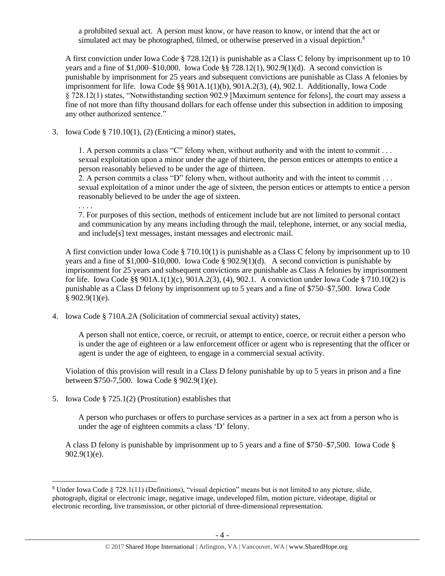a prohibited sexual act. A person must know, or have reason to know, or intend that the act or simulated act may be photographed, filmed, or otherwise preserved in a visual depiction.<sup>8</sup>

A first conviction under Iowa Code § 728.12(1) is punishable as a Class C felony by imprisonment up to 10 years and a fine of \$1,000–\$10,000. Iowa Code §§ 728.12(1), 902.9(1)(d). A second conviction is punishable by imprisonment for 25 years and subsequent convictions are punishable as Class A felonies by imprisonment for life. Iowa Code §§ 901A.1(1)(b), 901A.2(3), (4), 902.1. Additionally, Iowa Code § 728.12(1) states, "Notwithstanding section 902.9 [Maximum sentence for felons], the court may assess a fine of not more than fifty thousand dollars for each offense under this subsection in addition to imposing any other authorized sentence."

3. Iowa Code § 710.10(1), (2) (Enticing a minor) states,

1. A person commits a class "C" felony when, without authority and with the intent to commit . . . sexual exploitation upon a minor under the age of thirteen, the person entices or attempts to entice a person reasonably believed to be under the age of thirteen.

2. A person commits a class "D" felony when, without authority and with the intent to commit . . . sexual exploitation of a minor under the age of sixteen, the person entices or attempts to entice a person reasonably believed to be under the age of sixteen.

. . . .

 $\overline{a}$ 

7. For purposes of this section, methods of enticement include but are not limited to personal contact and communication by any means including through the mail, telephone, internet, or any social media, and include[s] text messages, instant messages and electronic mail.

A first conviction under Iowa Code § 710.10(1) is punishable as a Class C felony by imprisonment up to 10 years and a fine of \$1,000–\$10,000. Iowa Code § 902.9(1)(d). A second conviction is punishable by imprisonment for 25 years and subsequent convictions are punishable as Class A felonies by imprisonment for life. Iowa Code §§ 901A.1(1)(c), 901A.2(3), (4), 902.1. A conviction under Iowa Code § 710.10(2) is punishable as a Class D felony by imprisonment up to 5 years and a fine of \$750–\$7,500. Iowa Code  $§ 902.9(1)(e).$ 

4. Iowa Code § 710A.2A (Solicitation of commercial sexual activity) states,

A person shall not entice, coerce, or recruit, or attempt to entice, coerce, or recruit either a person who is under the age of eighteen or a law enforcement officer or agent who is representing that the officer or agent is under the age of eighteen, to engage in a commercial sexual activity.

Violation of this provision will result in a Class D felony punishable by up to 5 years in prison and a fine between \$750-7,500. Iowa Code § 902.9(1)(e).

5. Iowa Code § 725.1(2) (Prostitution) establishes that

A person who purchases or offers to purchase services as a partner in a sex act from a person who is under the age of eighteen commits a class 'D' felony.

A class D felony is punishable by imprisonment up to 5 years and a fine of \$750–\$7,500. Iowa Code §  $902.9(1)(e)$ .

<sup>8</sup> Under Iowa Code § 728.1(11) (Definitions), "visual depiction" means but is not limited to any picture, slide, photograph, digital or electronic image, negative image, undeveloped film, motion picture, videotape, digital or electronic recording, live transmission, or other pictorial of three-dimensional representation.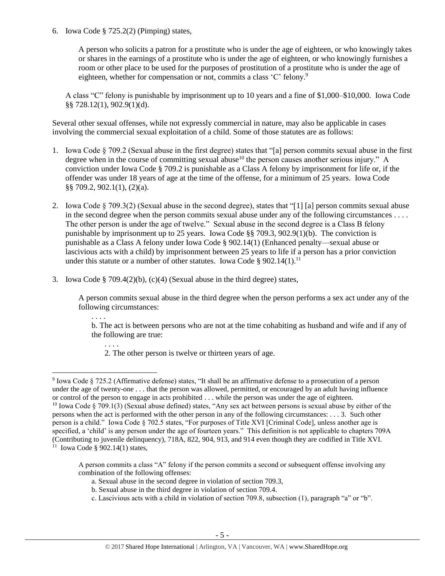6. Iowa Code § 725.2(2) (Pimping) states,

<span id="page-4-0"></span>. . . .

 $\overline{a}$ 

A person who solicits a patron for a prostitute who is under the age of eighteen, or who knowingly takes or shares in the earnings of a prostitute who is under the age of eighteen, or who knowingly furnishes a room or other place to be used for the purposes of prostitution of a prostitute who is under the age of eighteen, whether for compensation or not, commits a class 'C' felony.<sup>9</sup>

<span id="page-4-1"></span>A class "C" felony is punishable by imprisonment up to 10 years and a fine of \$1,000–\$10,000. Iowa Code §§ 728.12(1), 902.9(1)(d).

Several other sexual offenses, while not expressly commercial in nature, may also be applicable in cases involving the commercial sexual exploitation of a child. Some of those statutes are as follows:

- 1. Iowa Code § 709.2 (Sexual abuse in the first degree) states that "[a] person commits sexual abuse in the first degree when in the course of committing sexual abuse<sup>10</sup> the person causes another serious injury." A conviction under Iowa Code § 709.2 is punishable as a Class A felony by imprisonment for life or, if the offender was under 18 years of age at the time of the offense, for a minimum of 25 years. Iowa Code §§ 709.2, 902.1(1), (2)(a).
- 2. Iowa Code § 709.3(2) (Sexual abuse in the second degree), states that "[1] [a] person commits sexual abuse in the second degree when the person commits sexual abuse under any of the following circumstances . . . . The other person is under the age of twelve." Sexual abuse in the second degree is a Class B felony punishable by imprisonment up to 25 years. Iowa Code §§ 709.3, 902.9(1)(b). The conviction is punishable as a Class A felony under Iowa Code § 902.14(1) (Enhanced penalty—sexual abuse or lascivious acts with a child) by imprisonment between 25 years to life if a person has a prior conviction under this statute or a number of other statutes. Iowa Code § 902.14(1).<sup>11</sup>
- 3. Iowa Code § 709.4(2)(b), (c)(4) (Sexual abuse in the third degree) states,

A person commits sexual abuse in the third degree when the person performs a sex act under any of the following circumstances:

. . . . b. The act is between persons who are not at the time cohabiting as husband and wife and if any of the following are true:

2. The other person is twelve or thirteen years of age.

A person commits a class "A" felony if the person commits a second or subsequent offense involving any combination of the following offenses:

- a. Sexual abuse in the second degree in violation of section 709.3,
- b. Sexual abuse in the third degree in violation of section 709.4.
- c. Lascivious acts with a child in violation of section 709.8, subsection (1), paragraph "a" or "b".

<sup>9</sup> Iowa Code § 725.2 (Affirmative defense) states, "It shall be an affirmative defense to a prosecution of a person under the age of twenty-one . . . that the person was allowed, permitted, or encouraged by an adult having influence or control of the person to engage in acts prohibited . . . while the person was under the age of eighteen. <sup>10</sup> Iowa Code § 709.1(3) (Sexual abuse defined) states, "Any sex act between persons is sexual abuse by either of the persons when the act is performed with the other person in any of the following circumstances: . . . 3. Such other person is a child." Iowa Code § 702.5 states, "For purposes of Title XVI [Criminal Code], unless another age is specified, a 'child' is any person under the age of fourteen years." This definition is not applicable to chapters 709A (Contributing to juvenile delinquency), 718A, 822, 904, 913, and 914 even though they are codified in Title XVI. 11 Iowa Code § 902.14(1) states,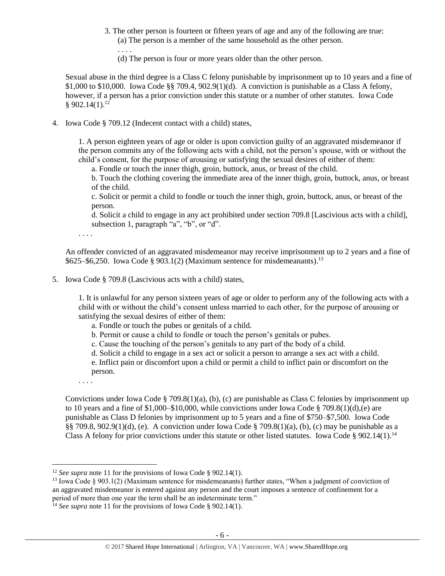- 3. The other person is fourteen or fifteen years of age and any of the following are true: (a) The person is a member of the same household as the other person.
	- (d) The person is four or more years older than the other person.

Sexual abuse in the third degree is a Class C felony punishable by imprisonment up to 10 years and a fine of \$1,000 to \$10,000. Iowa Code §§ 709.4,  $902.9(1)(d)$ . A conviction is punishable as a Class A felony, however, if a person has a prior conviction under this statute or a number of other statutes. Iowa Code  $§ 902.14(1).^{12}$ 

4. Iowa Code § 709.12 (Indecent contact with a child) states,

. . . .

1. A person eighteen years of age or older is upon conviction guilty of an aggravated misdemeanor if the person commits any of the following acts with a child, not the person's spouse, with or without the child's consent, for the purpose of arousing or satisfying the sexual desires of either of them:

a. Fondle or touch the inner thigh, groin, buttock, anus, or breast of the child.

b. Touch the clothing covering the immediate area of the inner thigh, groin, buttock, anus, or breast of the child.

c. Solicit or permit a child to fondle or touch the inner thigh, groin, buttock, anus, or breast of the person.

d. Solicit a child to engage in any act prohibited under section 709.8 [Lascivious acts with a child], subsection 1, paragraph "a", "b", or "d".

. . . .

An offender convicted of an aggravated misdemeanor may receive imprisonment up to 2 years and a fine of  $$625–$6,250. Iowa Code § 903.1(2) (Maximum sentence for misdemeanants).<sup>13</sup>$ 

5. Iowa Code § 709.8 (Lascivious acts with a child) states,

1. It is unlawful for any person sixteen years of age or older to perform any of the following acts with a child with or without the child's consent unless married to each other, for the purpose of arousing or satisfying the sexual desires of either of them:

- a. Fondle or touch the pubes or genitals of a child.
- b. Permit or cause a child to fondle or touch the person's genitals or pubes.
- c. Cause the touching of the person's genitals to any part of the body of a child.
- d. Solicit a child to engage in a sex act or solicit a person to arrange a sex act with a child.

e. Inflict pain or discomfort upon a child or permit a child to inflict pain or discomfort on the person.

. . . .

 $\overline{a}$ 

Convictions under Iowa Code § 709.8(1)(a), (b), (c) are punishable as Class C felonies by imprisonment up to 10 years and a fine of \$1,000–\$10,000, while convictions under Iowa Code § 709.8(1)(d),(e) are punishable as Class D felonies by imprisonment up to 5 years and a fine of \$750–\$7,500. Iowa Code §§ 709.8, 902.9(1)(d), (e). A conviction under Iowa Code § 709.8(1)(a), (b), (c) may be punishable as a Class A felony for prior convictions under this statute or other listed statutes. Iowa Code § 902.14(1).<sup>14</sup>

<sup>&</sup>lt;sup>12</sup> *See supra* note [11](#page-4-0) for the provisions of Iowa Code § 902.14(1).

<sup>&</sup>lt;sup>13</sup> Iowa Code § 903.1(2) (Maximum sentence for misdemeanants) further states, "When a judgment of conviction of an aggravated misdemeanor is entered against any person and the court imposes a sentence of confinement for a period of more than one year the term shall be an indeterminate term."

<sup>&</sup>lt;sup>14</sup> *See supra* note [11](#page-4-0) for the provisions of Iowa Code § 902.14(1).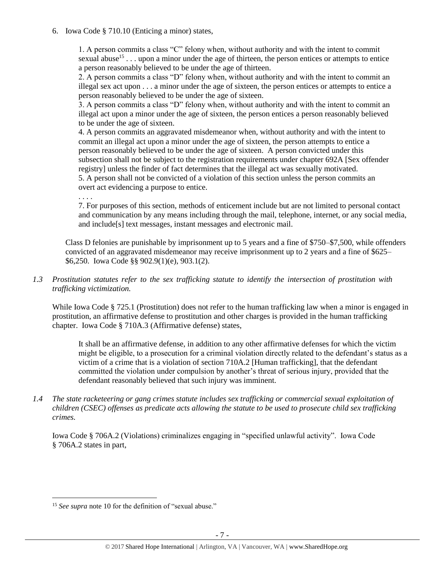6. Iowa Code § 710.10 (Enticing a minor) states,

1. A person commits a class "C" felony when, without authority and with the intent to commit sexual abuse<sup>15</sup>... upon a minor under the age of thirteen, the person entices or attempts to entice a person reasonably believed to be under the age of thirteen.

2. A person commits a class "D" felony when, without authority and with the intent to commit an illegal sex act upon . . . a minor under the age of sixteen, the person entices or attempts to entice a person reasonably believed to be under the age of sixteen.

3. A person commits a class "D" felony when, without authority and with the intent to commit an illegal act upon a minor under the age of sixteen, the person entices a person reasonably believed to be under the age of sixteen.

4. A person commits an aggravated misdemeanor when, without authority and with the intent to commit an illegal act upon a minor under the age of sixteen, the person attempts to entice a person reasonably believed to be under the age of sixteen. A person convicted under this subsection shall not be subject to the registration requirements under chapter 692A [Sex offender registry] unless the finder of fact determines that the illegal act was sexually motivated. 5. A person shall not be convicted of a violation of this section unless the person commits an overt act evidencing a purpose to entice.

. . . .

7. For purposes of this section, methods of enticement include but are not limited to personal contact and communication by any means including through the mail, telephone, internet, or any social media, and include[s] text messages, instant messages and electronic mail.

Class D felonies are punishable by imprisonment up to 5 years and a fine of \$750–\$7,500, while offenders convicted of an aggravated misdemeanor may receive imprisonment up to 2 years and a fine of \$625– \$6,250. Iowa Code §§ 902.9(1)(e), 903.1(2).

## *1.3 Prostitution statutes refer to the sex trafficking statute to identify the intersection of prostitution with trafficking victimization.*

While Iowa Code § 725.1 (Prostitution) does not refer to the human trafficking law when a minor is engaged in prostitution, an affirmative defense to prostitution and other charges is provided in the human trafficking chapter. Iowa Code § 710A.3 (Affirmative defense) states,

It shall be an affirmative defense, in addition to any other affirmative defenses for which the victim might be eligible, to a prosecution for a criminal violation directly related to the defendant's status as a victim of a crime that is a violation of section 710A.2 [Human trafficking], that the defendant committed the violation under compulsion by another's threat of serious injury, provided that the defendant reasonably believed that such injury was imminent.

*1.4 The state racketeering or gang crimes statute includes sex trafficking or commercial sexual exploitation of children (CSEC) offenses as predicate acts allowing the statute to be used to prosecute child sex trafficking crimes.* 

Iowa Code § 706A.2 (Violations) criminalizes engaging in "specified unlawful activity". Iowa Code § 706A.2 states in part,

<sup>&</sup>lt;sup>15</sup> *See supra* note [10](#page-4-1) for the definition of "sexual abuse."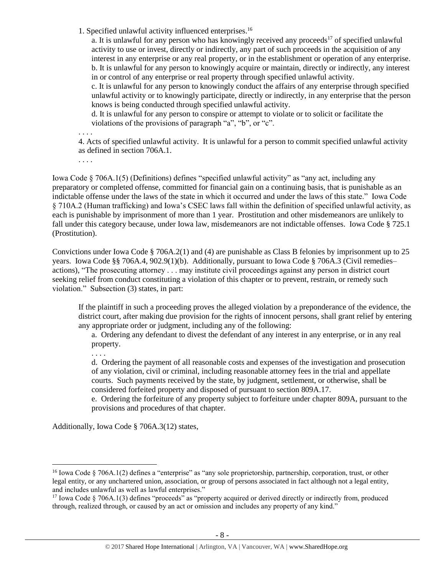1. Specified unlawful activity influenced enterprises.<sup>16</sup>

a. It is unlawful for any person who has knowingly received any proceeds<sup>17</sup> of specified unlawful activity to use or invest, directly or indirectly, any part of such proceeds in the acquisition of any interest in any enterprise or any real property, or in the establishment or operation of any enterprise. b. It is unlawful for any person to knowingly acquire or maintain, directly or indirectly, any interest in or control of any enterprise or real property through specified unlawful activity.

c. It is unlawful for any person to knowingly conduct the affairs of any enterprise through specified unlawful activity or to knowingly participate, directly or indirectly, in any enterprise that the person knows is being conducted through specified unlawful activity.

d. It is unlawful for any person to conspire or attempt to violate or to solicit or facilitate the violations of the provisions of paragraph "a", "b", or "c".

. . . .

4. Acts of specified unlawful activity. It is unlawful for a person to commit specified unlawful activity as defined in section 706A.1.

. . . .

Iowa Code § 706A.1(5) (Definitions) defines "specified unlawful activity" as "any act, including any preparatory or completed offense, committed for financial gain on a continuing basis, that is punishable as an indictable offense under the laws of the state in which it occurred and under the laws of this state." Iowa Code § 710A.2 (Human trafficking) and Iowa's CSEC laws fall within the definition of specified unlawful activity, as each is punishable by imprisonment of more than 1 year. Prostitution and other misdemeanors are unlikely to fall under this category because, under Iowa law, misdemeanors are not indictable offenses. Iowa Code § 725.1 (Prostitution).

Convictions under Iowa Code § 706A.2(1) and (4) are punishable as Class B felonies by imprisonment up to 25 years. Iowa Code §§ 706A.4, 902.9(1)(b). Additionally, pursuant to Iowa Code § 706A.3 (Civil remedies– actions), "The prosecuting attorney . . . may institute civil proceedings against any person in district court seeking relief from conduct constituting a violation of this chapter or to prevent, restrain, or remedy such violation." Subsection (3) states, in part:

If the plaintiff in such a proceeding proves the alleged violation by a preponderance of the evidence, the district court, after making due provision for the rights of innocent persons, shall grant relief by entering any appropriate order or judgment, including any of the following:

a. Ordering any defendant to divest the defendant of any interest in any enterprise, or in any real property.

. . . .

 $\overline{a}$ 

d. Ordering the payment of all reasonable costs and expenses of the investigation and prosecution of any violation, civil or criminal, including reasonable attorney fees in the trial and appellate courts. Such payments received by the state, by judgment, settlement, or otherwise, shall be considered forfeited property and disposed of pursuant to section 809A.17.

e. Ordering the forfeiture of any property subject to forfeiture under chapter 809A, pursuant to the provisions and procedures of that chapter.

Additionally, Iowa Code § 706A.3(12) states,

<sup>&</sup>lt;sup>16</sup> Iowa Code § 706A.1(2) defines a "enterprise" as "any sole proprietorship, partnership, corporation, trust, or other legal entity, or any unchartered union, association, or group of persons associated in fact although not a legal entity, and includes unlawful as well as lawful enterprises."

 $17$  Iowa Code § 706A.1(3) defines "proceeds" as "property acquired or derived directly or indirectly from, produced through, realized through, or caused by an act or omission and includes any property of any kind."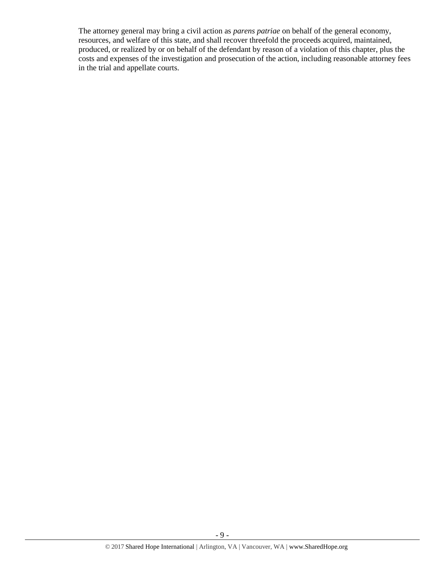The attorney general may bring a civil action as *parens patriae* on behalf of the general economy, resources, and welfare of this state, and shall recover threefold the proceeds acquired, maintained, produced, or realized by or on behalf of the defendant by reason of a violation of this chapter, plus the costs and expenses of the investigation and prosecution of the action, including reasonable attorney fees in the trial and appellate courts.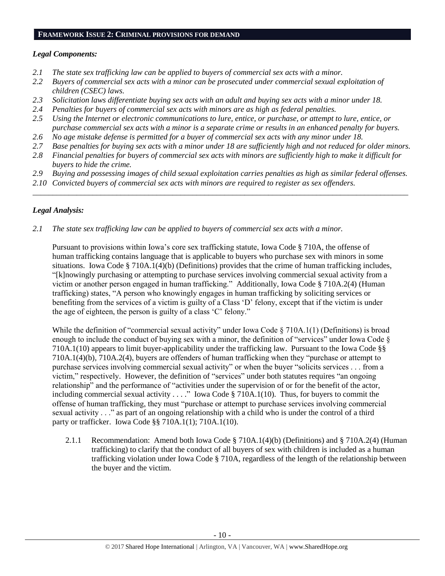#### **FRAMEWORK ISSUE 2: CRIMINAL PROVISIONS FOR DEMAND**

## *Legal Components:*

- *2.1 The state sex trafficking law can be applied to buyers of commercial sex acts with a minor.*
- *2.2 Buyers of commercial sex acts with a minor can be prosecuted under commercial sexual exploitation of children (CSEC) laws.*
- *2.3 Solicitation laws differentiate buying sex acts with an adult and buying sex acts with a minor under 18.*
- *2.4 Penalties for buyers of commercial sex acts with minors are as high as federal penalties.*
- *2.5 Using the Internet or electronic communications to lure, entice, or purchase, or attempt to lure, entice, or purchase commercial sex acts with a minor is a separate crime or results in an enhanced penalty for buyers.*
- *2.6 No age mistake defense is permitted for a buyer of commercial sex acts with any minor under 18.*
- *2.7 Base penalties for buying sex acts with a minor under 18 are sufficiently high and not reduced for older minors.*
- *2.8 Financial penalties for buyers of commercial sex acts with minors are sufficiently high to make it difficult for buyers to hide the crime.*
- *2.9 Buying and possessing images of child sexual exploitation carries penalties as high as similar federal offenses.*

\_\_\_\_\_\_\_\_\_\_\_\_\_\_\_\_\_\_\_\_\_\_\_\_\_\_\_\_\_\_\_\_\_\_\_\_\_\_\_\_\_\_\_\_\_\_\_\_\_\_\_\_\_\_\_\_\_\_\_\_\_\_\_\_\_\_\_\_\_\_\_\_\_\_\_\_\_\_\_\_\_\_\_\_\_\_\_\_\_\_\_\_\_\_

*2.10 Convicted buyers of commercial sex acts with minors are required to register as sex offenders.* 

# *Legal Analysis:*

*2.1 The state sex trafficking law can be applied to buyers of commercial sex acts with a minor.*

Pursuant to provisions within Iowa's core sex trafficking statute, Iowa Code § 710A, the offense of human trafficking contains language that is applicable to buyers who purchase sex with minors in some situations. Iowa Code § 710A.1(4)(b) (Definitions) provides that the crime of human trafficking includes, "[k]nowingly purchasing or attempting to purchase services involving commercial sexual activity from a victim or another person engaged in human trafficking." Additionally, Iowa Code § 710A.2(4) (Human trafficking) states, "A person who knowingly engages in human trafficking by soliciting services or benefiting from the services of a victim is guilty of a Class 'D' felony, except that if the victim is under the age of eighteen, the person is guilty of a class 'C' felony."

While the definition of "commercial sexual activity" under Iowa Code § 710A.1(1) (Definitions) is broad enough to include the conduct of buying sex with a minor, the definition of "services" under Iowa Code § 710A.1(10) appears to limit buyer-applicability under the trafficking law. Pursuant to the Iowa Code §§ 710A.1(4)(b), 710A.2(4), buyers are offenders of human trafficking when they "purchase or attempt to purchase services involving commercial sexual activity" or when the buyer "solicits services . . . from a victim," respectively. However, the definition of "services" under both statutes requires "an ongoing relationship" and the performance of "activities under the supervision of or for the benefit of the actor, including commercial sexual activity . . . ." Iowa Code § 710A.1(10). Thus, for buyers to commit the offense of human trafficking, they must "purchase or attempt to purchase services involving commercial sexual activity . . ." as part of an ongoing relationship with a child who is under the control of a third party or trafficker. Iowa Code §§ 710A.1(1); 710A.1(10).

2.1.1 Recommendation: Amend both Iowa Code § 710A.1(4)(b) (Definitions) and § 710A.2(4) (Human trafficking) to clarify that the conduct of all buyers of sex with children is included as a human trafficking violation under Iowa Code § 710A, regardless of the length of the relationship between the buyer and the victim.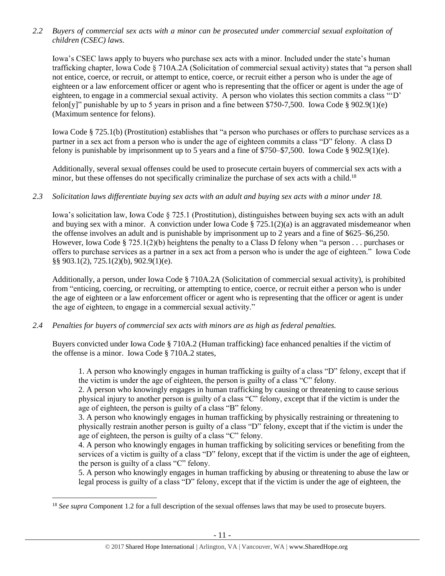*2.2 Buyers of commercial sex acts with a minor can be prosecuted under commercial sexual exploitation of children (CSEC) laws.*

Iowa's CSEC laws apply to buyers who purchase sex acts with a minor. Included under the state's human trafficking chapter, Iowa Code § 710A.2A (Solicitation of commercial sexual activity) states that "a person shall not entice, coerce, or recruit, or attempt to entice, coerce, or recruit either a person who is under the age of eighteen or a law enforcement officer or agent who is representing that the officer or agent is under the age of eighteen, to engage in a commercial sexual activity. A person who violates this section commits a class "'D' felon[y]" punishable by up to 5 years in prison and a fine between \$750-7,500. Iowa Code § 902.9(1)(e) (Maximum sentence for felons).

Iowa Code § 725.1(b) (Prostitution) establishes that "a person who purchases or offers to purchase services as a partner in a sex act from a person who is under the age of eighteen commits a class "D" felony. A class D felony is punishable by imprisonment up to 5 years and a fine of \$750–\$7,500. Iowa Code § 902.9(1)(e).

Additionally, several sexual offenses could be used to prosecute certain buyers of commercial sex acts with a minor, but these offenses do not specifically criminalize the purchase of sex acts with a child.<sup>18</sup>

## *2.3 Solicitation laws differentiate buying sex acts with an adult and buying sex acts with a minor under 18.*

Iowa's solicitation law, Iowa Code § 725.1 (Prostitution), distinguishes between buying sex acts with an adult and buying sex with a minor. A conviction under Iowa Code  $\S$  725.1(2)(a) is an aggravated misdemeanor when the offense involves an adult and is punishable by imprisonment up to 2 years and a fine of \$625–\$6,250. However, Iowa Code § 725.1(2)(b) heightens the penalty to a Class D felony when "a person . . . purchases or offers to purchase services as a partner in a sex act from a person who is under the age of eighteen." Iowa Code §§ 903.1(2), 725.1(2)(b), 902.9(1)(e).

Additionally, a person, under Iowa Code § 710A.2A (Solicitation of commercial sexual activity), is prohibited from "enticing, coercing, or recruiting, or attempting to entice, coerce, or recruit either a person who is under the age of eighteen or a law enforcement officer or agent who is representing that the officer or agent is under the age of eighteen, to engage in a commercial sexual activity."

*2.4 Penalties for buyers of commercial sex acts with minors are as high as federal penalties.*

 $\overline{a}$ 

Buyers convicted under Iowa Code § 710A.2 (Human trafficking) face enhanced penalties if the victim of the offense is a minor. Iowa Code § 710A.2 states,

1. A person who knowingly engages in human trafficking is guilty of a class "D" felony, except that if the victim is under the age of eighteen, the person is guilty of a class "C" felony.

2. A person who knowingly engages in human trafficking by causing or threatening to cause serious physical injury to another person is guilty of a class "C" felony, except that if the victim is under the age of eighteen, the person is guilty of a class "B" felony.

3. A person who knowingly engages in human trafficking by physically restraining or threatening to physically restrain another person is guilty of a class "D" felony, except that if the victim is under the age of eighteen, the person is guilty of a class "C" felony.

4. A person who knowingly engages in human trafficking by soliciting services or benefiting from the services of a victim is guilty of a class "D" felony, except that if the victim is under the age of eighteen, the person is guilty of a class "C" felony.

5. A person who knowingly engages in human trafficking by abusing or threatening to abuse the law or legal process is guilty of a class "D" felony, except that if the victim is under the age of eighteen, the

<sup>&</sup>lt;sup>18</sup> *See supra* Component 1.2 for a full description of the sexual offenses laws that may be used to prosecute buyers.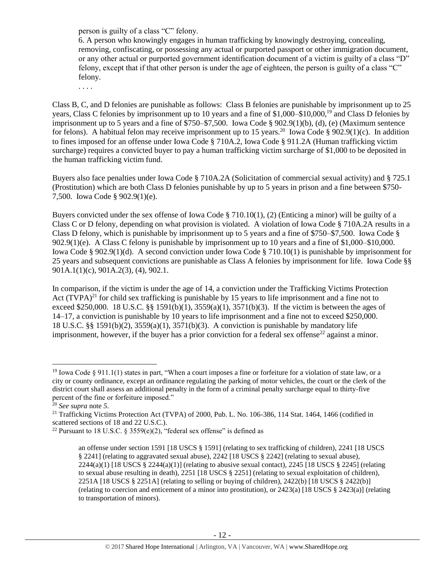person is guilty of a class "C" felony.

6. A person who knowingly engages in human trafficking by knowingly destroying, concealing, removing, confiscating, or possessing any actual or purported passport or other immigration document, or any other actual or purported government identification document of a victim is guilty of a class "D" felony, except that if that other person is under the age of eighteen, the person is guilty of a class "C" felony.

. . . .

Class B, C, and D felonies are punishable as follows: Class B felonies are punishable by imprisonment up to 25 years, Class C felonies by imprisonment up to 10 years and a fine of \$1,000–\$10,000,<sup>19</sup> and Class D felonies by imprisonment up to 5 years and a fine of  $\frac{$750 - $7,500}{50}$ . Iowa Code § 902.9(1)(b), (d), (e) (Maximum sentence for felons). A habitual felon may receive imprisonment up to 15 years.<sup>20</sup> Iowa Code § 902.9(1)(c). In addition to fines imposed for an offense under Iowa Code § 710A.2, Iowa Code § 911.2A (Human trafficking victim surcharge) requires a convicted buyer to pay a human trafficking victim surcharge of \$1,000 to be deposited in the human trafficking victim fund.

Buyers also face penalties under Iowa Code § 710A.2A (Solicitation of commercial sexual activity) and § 725.1 (Prostitution) which are both Class D felonies punishable by up to 5 years in prison and a fine between \$750- 7,500. Iowa Code § 902.9(1)(e).

Buyers convicted under the sex offense of Iowa Code § 710.10(1), (2) (Enticing a minor) will be guilty of a Class C or D felony, depending on what provision is violated. A violation of Iowa Code § 710A.2A results in a Class D felony, which is punishable by imprisonment up to 5 years and a fine of \$750–\$7,500. Iowa Code § 902.9(1)(e). A Class C felony is punishable by imprisonment up to 10 years and a fine of \$1,000–\$10,000. Iowa Code § 902.9(1)(d). A second conviction under Iowa Code § 710.10(1) is punishable by imprisonment for 25 years and subsequent convictions are punishable as Class A felonies by imprisonment for life. Iowa Code §§ 901A.1(1)(c), 901A.2(3), (4), 902.1.

<span id="page-11-0"></span>In comparison, if the victim is under the age of 14, a conviction under the Trafficking Victims Protection Act  $(TVPA)^{21}$  for child sex trafficking is punishable by 15 years to life imprisonment and a fine not to exceed \$250,000. 18 U.S.C. §§ 1591(b)(1),  $3559(a)(1)$ ,  $3571(b)(3)$ . If the victim is between the ages of 14–17, a conviction is punishable by 10 years to life imprisonment and a fine not to exceed \$250,000. 18 U.S.C. §§ 1591(b)(2), 3559(a)(1), 3571(b)(3). A conviction is punishable by mandatory life imprisonment, however, if the buyer has a prior conviction for a federal sex offense<sup>22</sup> against a minor.

 $\overline{a}$ 

<sup>21</sup> Trafficking Victims Protection Act (TVPA) of 2000, Pub. L. No. 106-386, 114 Stat. 1464, 1466 (codified in scattered sections of 18 and 22 U.S.C.).

<sup>&</sup>lt;sup>19</sup> Iowa Code § 911.1(1) states in part, "When a court imposes a fine or forfeiture for a violation of state law, or a city or county ordinance, except an ordinance regulating the parking of motor vehicles, the court or the clerk of the district court shall assess an additional penalty in the form of a criminal penalty surcharge equal to thirty-five percent of the fine or forfeiture imposed."

<sup>20</sup> *See supra* note *[5](#page-1-0)*.

<sup>&</sup>lt;sup>22</sup> Pursuant to 18 U.S.C. § 3559(e)(2), "federal sex offense" is defined as

<span id="page-11-1"></span>an offense under section 1591 [18 USCS § 1591] (relating to sex trafficking of children), 2241 [18 USCS § 2241] (relating to aggravated sexual abuse), 2242 [18 USCS § 2242] (relating to sexual abuse),  $2244(a)(1)$  [18 USCS §  $2244(a)(1)$ ] (relating to abusive sexual contact),  $2245$  [18 USCS § 2245] (relating to sexual abuse resulting in death), 2251 [18 USCS § 2251] (relating to sexual exploitation of children), 2251A [18 USCS § 2251A] (relating to selling or buying of children), 2422(b) [18 USCS § 2422(b)] (relating to coercion and enticement of a minor into prostitution), or 2423(a) [18 USCS § 2423(a)] (relating to transportation of minors).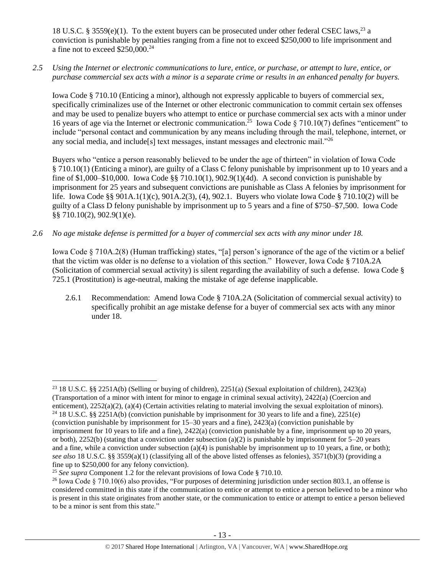18 U.S.C. § 3559(e)(1). To the extent buyers can be prosecuted under other federal CSEC laws,<sup>23</sup> a conviction is punishable by penalties ranging from a fine not to exceed \$250,000 to life imprisonment and a fine not to exceed \$250,000.<sup>24</sup>

*2.5 Using the Internet or electronic communications to lure, entice, or purchase, or attempt to lure, entice, or purchase commercial sex acts with a minor is a separate crime or results in an enhanced penalty for buyers.*

Iowa Code § 710.10 (Enticing a minor), although not expressly applicable to buyers of commercial sex, specifically criminalizes use of the Internet or other electronic communication to commit certain sex offenses and may be used to penalize buyers who attempt to entice or purchase commercial sex acts with a minor under 16 years of age via the Internet or electronic communication.<sup>25</sup> Iowa Code § 710.10(7) defines "enticement" to include "personal contact and communication by any means including through the mail, telephone, internet, or any social media, and include[s] text messages, instant messages and electronic mail."<sup>26</sup>

<span id="page-12-0"></span>Buyers who "entice a person reasonably believed to be under the age of thirteen" in violation of Iowa Code § 710.10(1) (Enticing a minor), are guilty of a Class C felony punishable by imprisonment up to 10 years and a fine of \$1,000–\$10,000. Iowa Code §§ 710.10(1), 902.9(1)(4d). A second conviction is punishable by imprisonment for 25 years and subsequent convictions are punishable as Class A felonies by imprisonment for life. Iowa Code §§ 901A.1(1)(c), 901A.2(3), (4), 902.1. Buyers who violate Iowa Code § 710.10(2) will be guilty of a Class D felony punishable by imprisonment up to 5 years and a fine of \$750–\$7,500. Iowa Code §§ 710.10(2), 902.9(1)(e).

*2.6 No age mistake defense is permitted for a buyer of commercial sex acts with any minor under 18.*

Iowa Code § 710A.2(8) (Human trafficking) states, "[a] person's ignorance of the age of the victim or a belief that the victim was older is no defense to a violation of this section." However, Iowa Code § 710A.2A (Solicitation of commercial sexual activity) is silent regarding the availability of such a defense. Iowa Code § 725.1 (Prostitution) is age-neutral, making the mistake of age defense inapplicable.

2.6.1 Recommendation: Amend Iowa Code § 710A.2A (Solicitation of commercial sexual activity) to specifically prohibit an age mistake defense for a buyer of commercial sex acts with any minor under 18.

<sup>23</sup> 18 U.S.C. §§ 2251A(b) (Selling or buying of children), 2251(a) (Sexual exploitation of children), 2423(a) (Transportation of a minor with intent for minor to engage in criminal sexual activity), 2422(a) (Coercion and enticement), 2252(a)(2), (a)(4) (Certain activities relating to material involving the sexual exploitation of minors).

<sup>&</sup>lt;sup>24</sup> 18 U.S.C. §§ 2251A(b) (conviction punishable by imprisonment for 30 years to life and a fine), 2251(e) (conviction punishable by imprisonment for 15–30 years and a fine), 2423(a) (conviction punishable by imprisonment for 10 years to life and a fine), 2422(a) (conviction punishable by a fine, imprisonment up to 20 years, or both), 2252(b) (stating that a conviction under subsection (a)(2) is punishable by imprisonment for  $5-20$  years and a fine, while a conviction under subsection (a)(4) is punishable by imprisonment up to 10 years, a fine, or both); *see also* 18 U.S.C. §§ 3559(a)(1) (classifying all of the above listed offenses as felonies), 3571(b)(3) (providing a fine up to \$250,000 for any felony conviction).

<sup>&</sup>lt;sup>25</sup> *See supra* Component 1.2 for the relevant provisions of Iowa Code § 710.10.

<sup>&</sup>lt;sup>26</sup> Iowa Code § 710.10(6) also provides, "For purposes of determining jurisdiction under section 803.1, an offense is considered committed in this state if the communication to entice or attempt to entice a person believed to be a minor who is present in this state originates from another state, or the communication to entice or attempt to entice a person believed to be a minor is sent from this state."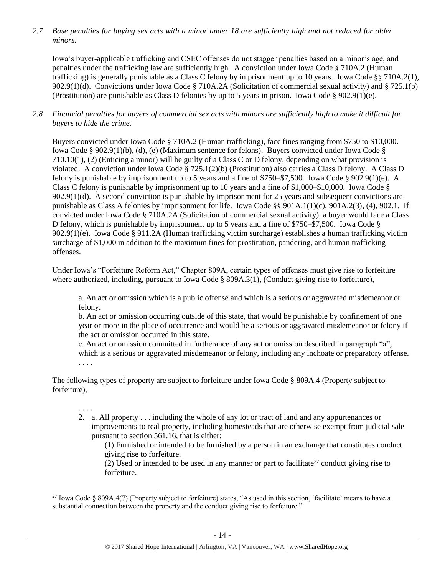*2.7 Base penalties for buying sex acts with a minor under 18 are sufficiently high and not reduced for older minors.*

Iowa's buyer-applicable trafficking and CSEC offenses do not stagger penalties based on a minor's age, and penalties under the trafficking law are sufficiently high. A conviction under Iowa Code § 710A.2 (Human trafficking) is generally punishable as a Class C felony by imprisonment up to 10 years. Iowa Code §§ 710A.2(1), 902.9(1)(d). Convictions under Iowa Code § 710A.2A (Solicitation of commercial sexual activity) and § 725.1(b) (Prostitution) are punishable as Class D felonies by up to 5 years in prison. Iowa Code § 902.9(1)(e).

## *2.8 Financial penalties for buyers of commercial sex acts with minors are sufficiently high to make it difficult for buyers to hide the crime.*

Buyers convicted under Iowa Code § 710A.2 (Human trafficking), face fines ranging from \$750 to \$10,000. Iowa Code § 902.9(1)(b), (d), (e) (Maximum sentence for felons). Buyers convicted under Iowa Code § 710.10(1), (2) (Enticing a minor) will be guilty of a Class C or D felony, depending on what provision is violated. A conviction under Iowa Code § 725.1(2)(b) (Prostitution) also carries a Class D felony. A Class D felony is punishable by imprisonment up to 5 years and a fine of \$750–\$7,500. Iowa Code § 902.9(1)(e). A Class C felony is punishable by imprisonment up to 10 years and a fine of \$1,000–\$10,000. Iowa Code § 902.9(1)(d). A second conviction is punishable by imprisonment for 25 years and subsequent convictions are punishable as Class A felonies by imprisonment for life. Iowa Code §§ 901A.1(1)(c), 901A.2(3), (4), 902.1. If convicted under Iowa Code § 710A.2A (Solicitation of commercial sexual activity), a buyer would face a Class D felony, which is punishable by imprisonment up to 5 years and a fine of \$750–\$7,500. Iowa Code § 902.9(1)(e). Iowa Code § 911.2A (Human trafficking victim surcharge) establishes a human trafficking victim surcharge of \$1,000 in addition to the maximum fines for prostitution, pandering, and human trafficking offenses.

Under Iowa's "Forfeiture Reform Act," Chapter 809A, certain types of offenses must give rise to forfeiture where authorized, including, pursuant to Iowa Code § 809A.3(1), (Conduct giving rise to forfeiture),

a. An act or omission which is a public offense and which is a serious or aggravated misdemeanor or felony.

b. An act or omission occurring outside of this state, that would be punishable by confinement of one year or more in the place of occurrence and would be a serious or aggravated misdemeanor or felony if the act or omission occurred in this state.

c. An act or omission committed in furtherance of any act or omission described in paragraph "a", which is a serious or aggravated misdemeanor or felony, including any inchoate or preparatory offense. . . . .

The following types of property are subject to forfeiture under Iowa Code § 809A.4 (Property subject to forfeiture),

# . . . .

2. a. All property . . . including the whole of any lot or tract of land and any appurtenances or improvements to real property, including homesteads that are otherwise exempt from judicial sale pursuant to section 561.16, that is either:

(1) Furnished or intended to be furnished by a person in an exchange that constitutes conduct giving rise to forfeiture.

(2) Used or intended to be used in any manner or part to facilitate<sup>27</sup> conduct giving rise to forfeiture.

 $\overline{a}$ <sup>27</sup> Iowa Code § 809A.4(7) (Property subject to forfeiture) states, "As used in this section, 'facilitate' means to have a substantial connection between the property and the conduct giving rise to forfeiture."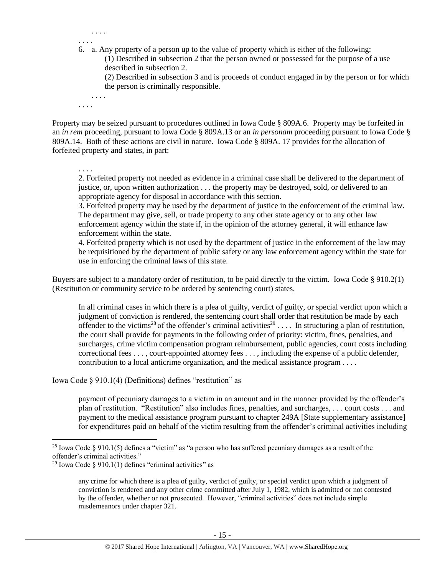6. a. Any property of a person up to the value of property which is either of the following: (1) Described in subsection 2 that the person owned or possessed for the purpose of a use described in subsection 2. (2) Described in subsection 3 and is proceeds of conduct engaged in by the person or for which the person is criminally responsible.

Property may be seized pursuant to procedures outlined in Iowa Code § 809A.6. Property may be forfeited in an *in rem* proceeding, pursuant to Iowa Code § 809A.13 or an *in personam* proceeding pursuant to Iowa Code § 809A.14. Both of these actions are civil in nature. Iowa Code § 809A. 17 provides for the allocation of forfeited property and states, in part:

. . . .

. . . .

. . . .

. . . .

. . . .

2. Forfeited property not needed as evidence in a criminal case shall be delivered to the department of justice, or, upon written authorization . . . the property may be destroyed, sold, or delivered to an appropriate agency for disposal in accordance with this section.

3. Forfeited property may be used by the department of justice in the enforcement of the criminal law. The department may give, sell, or trade property to any other state agency or to any other law enforcement agency within the state if, in the opinion of the attorney general, it will enhance law enforcement within the state.

4. Forfeited property which is not used by the department of justice in the enforcement of the law may be requisitioned by the department of public safety or any law enforcement agency within the state for use in enforcing the criminal laws of this state.

Buyers are subject to a mandatory order of restitution, to be paid directly to the victim. Iowa Code § 910.2(1) (Restitution or community service to be ordered by sentencing court) states,

<span id="page-14-1"></span><span id="page-14-0"></span>In all criminal cases in which there is a plea of guilty, verdict of guilty, or special verdict upon which a judgment of conviction is rendered, the sentencing court shall order that restitution be made by each offender to the victims<sup>28</sup> of the offender's criminal activities<sup>29</sup> .... In structuring a plan of restitution, the court shall provide for payments in the following order of priority: victim, fines, penalties, and surcharges, crime victim compensation program reimbursement, public agencies, court costs including correctional fees . . . , court-appointed attorney fees . . . , including the expense of a public defender, contribution to a local anticrime organization, and the medical assistance program . . . .

Iowa Code § 910.1(4) (Definitions) defines "restitution" as

payment of pecuniary damages to a victim in an amount and in the manner provided by the offender's plan of restitution. "Restitution" also includes fines, penalties, and surcharges, . . . court costs . . . and payment to the medical assistance program pursuant to chapter 249A [State supplementary assistance] for expenditures paid on behalf of the victim resulting from the offender's criminal activities including

<sup>&</sup>lt;sup>28</sup> Iowa Code § 910.1(5) defines a "victim" as "a person who has suffered pecuniary damages as a result of the offender's criminal activities."

<sup>&</sup>lt;sup>29</sup> Iowa Code § 910.1(1) defines "criminal activities" as

any crime for which there is a plea of guilty, verdict of guilty, or special verdict upon which a judgment of conviction is rendered and any other crime committed after July 1, 1982, which is admitted or not contested by the offender, whether or not prosecuted. However, "criminal activities" does not include simple misdemeanors under chapter 321.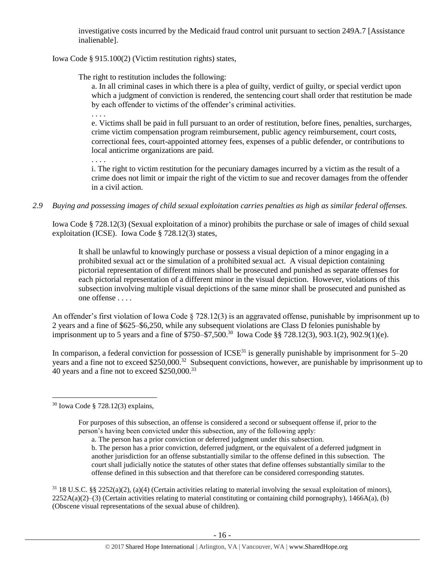investigative costs incurred by the Medicaid fraud control unit pursuant to section 249A.7 [Assistance inalienable].

Iowa Code § 915.100(2) (Victim restitution rights) states,

The right to restitution includes the following:

a. In all criminal cases in which there is a plea of guilty, verdict of guilty, or special verdict upon which a judgment of conviction is rendered, the sentencing court shall order that restitution be made by each offender to victims of the offender's criminal activities.

. . . .

e. Victims shall be paid in full pursuant to an order of restitution, before fines, penalties, surcharges, crime victim compensation program reimbursement, public agency reimbursement, court costs, correctional fees, court-appointed attorney fees, expenses of a public defender, or contributions to local anticrime organizations are paid.

. . . .

i. The right to victim restitution for the pecuniary damages incurred by a victim as the result of a crime does not limit or impair the right of the victim to sue and recover damages from the offender in a civil action.

*2.9 Buying and possessing images of child sexual exploitation carries penalties as high as similar federal offenses.*

Iowa Code § 728.12(3) (Sexual exploitation of a minor) prohibits the purchase or sale of images of child sexual exploitation (ICSE). Iowa Code § 728.12(3) states,

It shall be unlawful to knowingly purchase or possess a visual depiction of a minor engaging in a prohibited sexual act or the simulation of a prohibited sexual act. A visual depiction containing pictorial representation of different minors shall be prosecuted and punished as separate offenses for each pictorial representation of a different minor in the visual depiction. However, violations of this subsection involving multiple visual depictions of the same minor shall be prosecuted and punished as one offense . . . .

An offender's first violation of Iowa Code § 728.12(3) is an aggravated offense, punishable by imprisonment up to 2 years and a fine of \$625–\$6,250, while any subsequent violations are Class D felonies punishable by imprisonment up to 5 years and a fine of \$750–\$7,500.<sup>30</sup> Iowa Code §§ 728.12(3), 903.1(2), 902.9(1)(e).

In comparison, a federal conviction for possession of  $ICSE<sup>31</sup>$  is generally punishable by imprisonment for  $5-20$ years and a fine not to exceed \$250,000.<sup>32</sup> Subsequent convictions, however, are punishable by imprisonment up to 40 years and a fine not to exceed \$250,000.<sup>33</sup>

 $\overline{a}$ 

For purposes of this subsection, an offense is considered a second or subsequent offense if, prior to the person's having been convicted under this subsection, any of the following apply:

 $31\,18$  U.S.C. §§ 2252(a)(2), (a)(4) (Certain activities relating to material involving the sexual exploitation of minors),  $2252A(a)(2)$ –(3) (Certain activities relating to material constituting or containing child pornography), 1466A(a), (b) (Obscene visual representations of the sexual abuse of children).

<sup>30</sup> Iowa Code § 728.12(3) explains,

a. The person has a prior conviction or deferred judgment under this subsection.

b. The person has a prior conviction, deferred judgment, or the equivalent of a deferred judgment in another jurisdiction for an offense substantially similar to the offense defined in this subsection. The court shall judicially notice the statutes of other states that define offenses substantially similar to the offense defined in this subsection and that therefore can be considered corresponding statutes.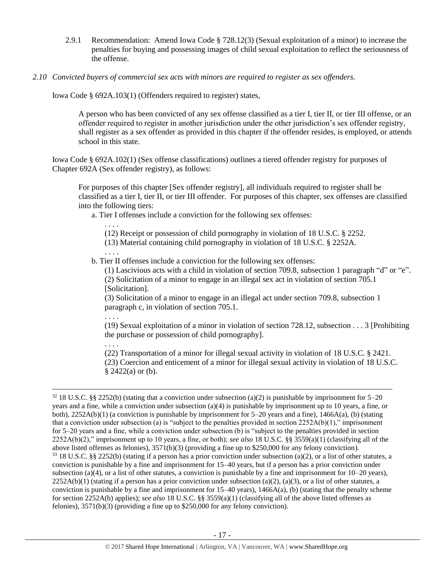- 2.9.1 Recommendation: Amend Iowa Code § 728.12(3) (Sexual exploitation of a minor) to increase the penalties for buying and possessing images of child sexual exploitation to reflect the seriousness of the offense.
- *2.10 Convicted buyers of commercial sex acts with minors are required to register as sex offenders.*

Iowa Code § 692A.103(1) (Offenders required to register) states,

A person who has been convicted of any sex offense classified as a tier I, tier II, or tier III offense, or an offender required to register in another jurisdiction under the other jurisdiction's sex offender registry, shall register as a sex offender as provided in this chapter if the offender resides, is employed, or attends school in this state.

Iowa Code § 692A.102(1) (Sex offense classifications) outlines a tiered offender registry for purposes of Chapter 692A (Sex offender registry), as follows:

For purposes of this chapter [Sex offender registry], all individuals required to register shall be classified as a tier I, tier II, or tier III offender. For purposes of this chapter, sex offenses are classified into the following tiers:

a. Tier I offenses include a conviction for the following sex offenses:

. . . . (12) Receipt or possession of child pornography in violation of [18 U.S.C. § 2252.](https://www.lexis.com/research/buttonTFLink?_m=4fc730b00228455ff3529e63593f5654&_xfercite=%3ccite%20cc%3d%22USA%22%3e%3c%21%5bCDATA%5bIowa%20Code%20%a7%20692A.102%5d%5d%3e%3c%2fcite%3e&_butType=4&_butStat=0&_butNum=3&_butInline=1&_butinfo=18%20USC%202252&_fmtstr=FULL&docnum=1&_startdoc=1&wchp=dGLbVzV-zSkAW&_md5=28a0aa8b1856cb4eb43956793e575523)

(13) Material containing child pornography in violation of [18 U.S.C. § 2252A.](https://www.lexis.com/research/buttonTFLink?_m=4fc730b00228455ff3529e63593f5654&_xfercite=%3ccite%20cc%3d%22USA%22%3e%3c%21%5bCDATA%5bIowa%20Code%20%a7%20692A.102%5d%5d%3e%3c%2fcite%3e&_butType=4&_butStat=0&_butNum=4&_butInline=1&_butinfo=18%20USC%202252A&_fmtstr=FULL&docnum=1&_startdoc=1&wchp=dGLbVzV-zSkAW&_md5=5636aa1de2b137b29375d5b4a005df40)

. . . .

b. Tier II offenses include a conviction for the following sex offenses:

(1) Lascivious acts with a child in violation of section 709.8, subsection 1 paragraph "d" or "e". (2) Solicitation of a minor to engage in an illegal sex act in violation of section 705.1 [Solicitation].

(3) Solicitation of a minor to engage in an illegal act under section 709.8, subsection 1 paragraph c, in violation of section 705.1.

. . . .

 $\overline{a}$ 

(19) Sexual exploitation of a minor in violation of section 728.12, subsection . . . 3 [Prohibiting the purchase or possession of child pornography].

. . . . (22) Transportation of a minor for illegal sexual activity in violation of [18 U.S.C. § 2421.](https://www.lexis.com/research/buttonTFLink?_m=4fc730b00228455ff3529e63593f5654&_xfercite=%3ccite%20cc%3d%22USA%22%3e%3c%21%5bCDATA%5bIowa%20Code%20%a7%20692A.102%5d%5d%3e%3c%2fcite%3e&_butType=4&_butStat=0&_butNum=11&_butInline=1&_butinfo=18%20USC%202421&_fmtstr=FULL&docnum=1&_startdoc=1&wchp=dGLbVzV-zSkAW&_md5=e83e3d2bd1fc5d1af19f74d3a2c1c4a6) (23) Coercion and enticement of a minor for illegal sexual activity in violation of [18 U.S.C.](https://www.lexis.com/research/buttonTFLink?_m=4fc730b00228455ff3529e63593f5654&_xfercite=%3ccite%20cc%3d%22USA%22%3e%3c%21%5bCDATA%5bIowa%20Code%20%a7%20692A.102%5d%5d%3e%3c%2fcite%3e&_butType=4&_butStat=0&_butNum=12&_butInline=1&_butinfo=18%20USC%202422&_fmtstr=FULL&docnum=1&_startdoc=1&wchp=dGLbVzV-zSkAW&_md5=1297e2a5950c748e9f4344c55905c8e9)   $§ 2422(a)$  $§ 2422(a)$  $§ 2422(a)$  or (b).

 $32\,18$  U.S.C. §§ 2252(b) (stating that a conviction under subsection (a)(2) is punishable by imprisonment for 5–20 years and a fine, while a conviction under subsection (a)(4) is punishable by imprisonment up to 10 years, a fine, or both),  $2252A(b)(1)$  (a conviction is punishable by imprisonment for 5–20 years and a fine),  $1466A(a)$ , (b) (stating that a conviction under subsection (a) is "subject to the penalties provided in section  $2252A(b)(1)$ ," imprisonment for 5–20 years and a fine, while a conviction under subsection (b) is "subject to the penalties provided in section 2252A(b)(2)," imprisonment up to 10 years, a fine, or both); *see also* 18 U.S.C. §§ 3559(a)(1) (classifying all of the above listed offenses as felonies), 3571(b)(3) (providing a fine up to \$250,000 for any felony conviction).  $33$  18 U.S.C. §§ 2252(b) (stating if a person has a prior conviction under subsection (a)(2), or a list of other statutes, a conviction is punishable by a fine and imprisonment for 15–40 years, but if a person has a prior conviction under subsection (a)(4), or a list of other statutes, a conviction is punishable by a fine and imprisonment for  $10-20$  years),  $2252A(b)(1)$  (stating if a person has a prior conviction under subsection (a)(2), (a)(3), or a list of other statutes, a conviction is punishable by a fine and imprisonment for  $15-40$  years),  $1466A(a)$ , (b) (stating that the penalty scheme for section 2252A(b) applies); *see also* 18 U.S.C. §§ 3559(a)(1) (classifying all of the above listed offenses as felonies), 3571(b)(3) (providing a fine up to \$250,000 for any felony conviction).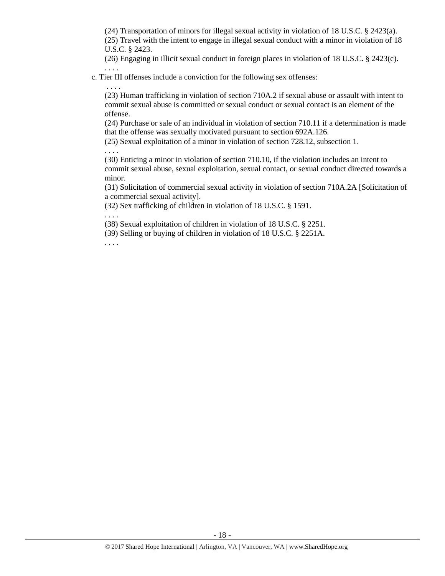(24) Transportation of minors for illegal sexual activity in violation of [18 U.S.C. § 2423\(](https://www.lexis.com/research/buttonTFLink?_m=4fc730b00228455ff3529e63593f5654&_xfercite=%3ccite%20cc%3d%22USA%22%3e%3c%21%5bCDATA%5bIowa%20Code%20%a7%20692A.102%5d%5d%3e%3c%2fcite%3e&_butType=4&_butStat=0&_butNum=13&_butInline=1&_butinfo=18%20USC%202423&_fmtstr=FULL&docnum=1&_startdoc=1&wchp=dGLbVzV-zSkAW&_md5=74ad89f5fb9667e6756dc7bddc5d2d08)a). (25) Travel with the intent to engage in illegal sexual conduct with a minor in violation of [18](https://www.lexis.com/research/buttonTFLink?_m=4fc730b00228455ff3529e63593f5654&_xfercite=%3ccite%20cc%3d%22USA%22%3e%3c%21%5bCDATA%5bIowa%20Code%20%a7%20692A.102%5d%5d%3e%3c%2fcite%3e&_butType=4&_butStat=0&_butNum=14&_butInline=1&_butinfo=18%20USC%202423&_fmtstr=FULL&docnum=1&_startdoc=1&wchp=dGLbVzV-zSkAW&_md5=7f00c21c6c6a0ea8fa385c078bba1478)  [U.S.C. § 2423.](https://www.lexis.com/research/buttonTFLink?_m=4fc730b00228455ff3529e63593f5654&_xfercite=%3ccite%20cc%3d%22USA%22%3e%3c%21%5bCDATA%5bIowa%20Code%20%a7%20692A.102%5d%5d%3e%3c%2fcite%3e&_butType=4&_butStat=0&_butNum=14&_butInline=1&_butinfo=18%20USC%202423&_fmtstr=FULL&docnum=1&_startdoc=1&wchp=dGLbVzV-zSkAW&_md5=7f00c21c6c6a0ea8fa385c078bba1478)

(26) Engaging in illicit sexual conduct in foreign places in violation of [18 U.S.C. § 2423\(](https://www.lexis.com/research/buttonTFLink?_m=4fc730b00228455ff3529e63593f5654&_xfercite=%3ccite%20cc%3d%22USA%22%3e%3c%21%5bCDATA%5bIowa%20Code%20%a7%20692A.102%5d%5d%3e%3c%2fcite%3e&_butType=4&_butStat=0&_butNum=15&_butInline=1&_butinfo=18%20USC%202423&_fmtstr=FULL&docnum=1&_startdoc=1&wchp=dGLbVzV-zSkAW&_md5=b37f8956456423d2bea9ea5b70d8bfae)c). . . . .

c. Tier III offenses include a conviction for the following sex offenses:

(23) Human trafficking in violation of section 710A.2 if sexual abuse or assault with intent to commit sexual abuse is committed or sexual conduct or sexual contact is an element of the offense.

(24) Purchase or sale of an individual in violation of section 710.11 if a determination is made that the offense was sexually motivated pursuant to section 692A.126.

(25) Sexual exploitation of a minor in violation of section 728.12, subsection 1.

(30) Enticing a minor in violation of section 710.10, if the violation includes an intent to commit sexual abuse, sexual exploitation, sexual contact, or sexual conduct directed towards a minor.

(31) Solicitation of commercial sexual activity in violation of section 710A.2A [Solicitation of a commercial sexual activity].

(32) Sex trafficking of children in violation of 18 U.S.C. § 1591.

. . . .

. . . .

. . . .

(38) Sexual exploitation of children in violation of [18 U.S.C. § 2251.](https://www.lexis.com/research/buttonTFLink?_m=4fc730b00228455ff3529e63593f5654&_xfercite=%3ccite%20cc%3d%22USA%22%3e%3c%21%5bCDATA%5bIowa%20Code%20%a7%20692A.102%5d%5d%3e%3c%2fcite%3e&_butType=4&_butStat=0&_butNum=23&_butInline=1&_butinfo=18%20USC%202251&_fmtstr=FULL&docnum=1&_startdoc=1&wchp=dGLbVzV-zSkAW&_md5=9aec939dada19e89d789d2adabfddf89)

(39) Selling or buying of children in violation of [18 U.S.C. § 2251A.](https://www.lexis.com/research/buttonTFLink?_m=4fc730b00228455ff3529e63593f5654&_xfercite=%3ccite%20cc%3d%22USA%22%3e%3c%21%5bCDATA%5bIowa%20Code%20%a7%20692A.102%5d%5d%3e%3c%2fcite%3e&_butType=4&_butStat=0&_butNum=24&_butInline=1&_butinfo=18%20USC%202251A&_fmtstr=FULL&docnum=1&_startdoc=1&wchp=dGLbVzV-zSkAW&_md5=9293aacd54f5da281c2803161a7ba782)

. . . .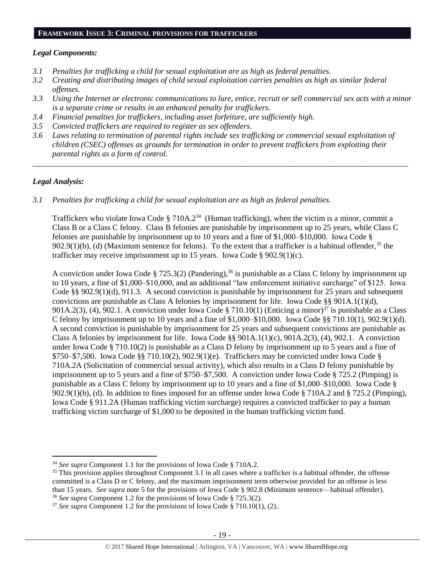#### **FRAMEWORK ISSUE 3: CRIMINAL PROVISIONS FOR TRAFFICKERS**

#### *Legal Components:*

- *3.1 Penalties for trafficking a child for sexual exploitation are as high as federal penalties.*
- *3.2 Creating and distributing images of child sexual exploitation carries penalties as high as similar federal offenses.*
- *3.3 Using the Internet or electronic communications to lure, entice, recruit or sell commercial sex acts with a minor is a separate crime or results in an enhanced penalty for traffickers.*
- *3.4 Financial penalties for traffickers, including asset forfeiture, are sufficiently high.*
- *3.5 Convicted traffickers are required to register as sex offenders.*
- *3.6 Laws relating to termination of parental rights include sex trafficking or commercial sexual exploitation of children (CSEC) offenses as grounds for termination in order to prevent traffickers from exploiting their parental rights as a form of control.*

*\_\_\_\_\_\_\_\_\_\_\_\_\_\_\_\_\_\_\_\_\_\_\_\_\_\_\_\_\_\_\_\_\_\_\_\_\_\_\_\_\_\_\_\_\_\_\_\_\_\_\_\_\_\_\_\_\_\_\_\_\_\_\_\_\_\_\_\_\_\_\_\_\_\_\_\_\_\_\_\_\_\_\_\_\_\_\_\_\_\_\_\_\_\_*

## *Legal Analysis:*

 $\overline{a}$ 

*3.1 Penalties for trafficking a child for sexual exploitation are as high as federal penalties.* 

Traffickers who violate Iowa Code § 710A.2<sup>34</sup> (Human trafficking), when the victim is a minor, commit a Class B or a Class C felony. Class B felonies are punishable by imprisonment up to 25 years, while Class C felonies are punishable by imprisonment up to 10 years and a fine of \$1,000–\$10,000. Iowa Code § 902.9(1)(b), (d) (Maximum sentence for felons). To the extent that a trafficker is a habitual offender,<sup>35</sup> the trafficker may receive imprisonment up to 15 years. Iowa Code § 902.9(1)(c).

A conviction under Iowa Code § 725.3(2) (Pandering),<sup>36</sup> is punishable as a Class C felony by imprisonment up to 10 years, a fine of \$1,000–\$10,000, and an additional "law enforcement initiative surcharge" of \$125. Iowa Code §§ 902.9(1)(d), 911.3. A second conviction is punishable by imprisonment for 25 years and subsequent convictions are punishable as Class A felonies by imprisonment for life. Iowa Code §§ 901A.1(1)(d), 901A.2(3), (4), 902.1. A conviction under Iowa Code § 710.10(1) (Enticing a minor)<sup>37</sup> is punishable as a Class C felony by imprisonment up to 10 years and a fine of \$1,000–\$10,000. Iowa Code §§ 710.10(1), 902.9(1)(d). A second conviction is punishable by imprisonment for 25 years and subsequent convictions are punishable as Class A felonies by imprisonment for life. Iowa Code §§ 901A.1(1)(c), 901A.2(3), (4), 902.1. A conviction under Iowa Code § 710.10(2) is punishable as a Class D felony by imprisonment up to 5 years and a fine of \$750–\$7,500. Iowa Code §§ 710.10(2), 902.9(1)(e). Traffickers may be convicted under Iowa Code § 710A.2A (Solicitation of commercial sexual activity), which also results in a Class D felony punishable by imprisonment up to 5 years and a fine of \$750–\$7,500. A conviction under Iowa Code § 725.2 (Pimping) is punishable as a Class C felony by imprisonment up to 10 years and a fine of \$1,000–\$10,000. Iowa Code § 902.9(1)(b), (d). In addition to fines imposed for an offense under Iowa Code § 710A.2 and § 725.2 (Pimping), Iowa Code § 911.2A (Human trafficking victim surcharge) requires a convicted trafficker to pay a human trafficking victim surcharge of \$1,000 to be deposited in the human trafficking victim fund.

<sup>34</sup> *See supra* Component 1.1 for the provisions of Iowa Code § 710A.2.

 $35$  This provision applies throughout Component 3.1 in all cases where a trafficker is a habitual offender, the offense committed is a Class D or C felony, and the maximum imprisonment term otherwise provided for an offense is less than 15 years. *See supra* note [5](#page-1-0) for the provisions of Iowa Code § 902.8 (Minimum sentence—habitual offender). <sup>36</sup> *See supra* Component 1.2 for the provisions of Iowa Code § 725.3(2).

 $37$  *See supra* Component 1.2 for the provisions of Iowa Code § 710.10(1), (2)...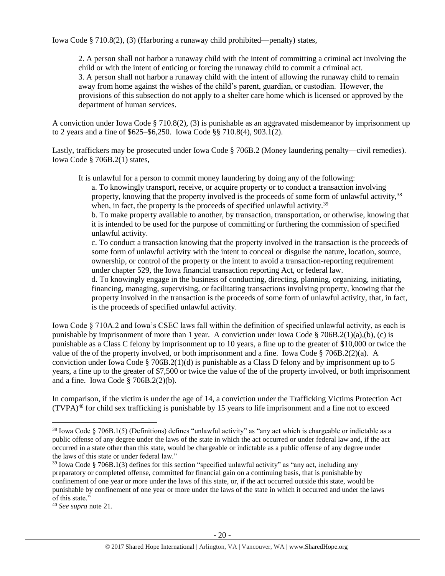Iowa Code § 710.8(2), (3) (Harboring a runaway child prohibited—penalty) states,

2. A person shall not harbor a runaway child with the intent of committing a criminal act involving the child or with the intent of enticing or forcing the runaway child to commit a criminal act. 3. A person shall not harbor a runaway child with the intent of allowing the runaway child to remain away from home against the wishes of the child's parent, guardian, or custodian. However, the provisions of this subsection do not apply to a shelter care home which is licensed or approved by the department of human services.

A conviction under Iowa Code § 710.8(2), (3) is punishable as an aggravated misdemeanor by imprisonment up to 2 years and a fine of \$625–\$6,250. Iowa Code §§ 710.8(4), 903.1(2).

Lastly, traffickers may be prosecuted under Iowa Code § 706B.2 (Money laundering penalty—civil remedies). Iowa Code § 706B.2(1) states,

It is unlawful for a person to commit money laundering by doing any of the following:

a. To knowingly transport, receive, or acquire property or to conduct a transaction involving property, knowing that the property involved is the proceeds of some form of unlawful activity,<sup>38</sup> when, in fact, the property is the proceeds of specified unlawful activity.<sup>39</sup>

b. To make property available to another, by transaction, transportation, or otherwise, knowing that it is intended to be used for the purpose of committing or furthering the commission of specified unlawful activity.

c. To conduct a transaction knowing that the property involved in the transaction is the proceeds of some form of unlawful activity with the intent to conceal or disguise the nature, location, source, ownership, or control of the property or the intent to avoid a transaction-reporting requirement under chapter 529, the Iowa financial transaction reporting Act, or federal law.

d. To knowingly engage in the business of conducting, directing, planning, organizing, initiating, financing, managing, supervising, or facilitating transactions involving property, knowing that the property involved in the transaction is the proceeds of some form of unlawful activity, that, in fact, is the proceeds of specified unlawful activity.

Iowa Code § 710A.2 and Iowa's CSEC laws fall within the definition of specified unlawful activity, as each is punishable by imprisonment of more than 1 year. A conviction under Iowa Code § 706B.2(1)(a),(b), (c) is punishable as a Class C felony by imprisonment up to 10 years, a fine up to the greater of \$10,000 or twice the value of the of the property involved, or both imprisonment and a fine. Iowa Code § 706B.2(2)(a). A conviction under Iowa Code § 706B.2(1)(d) is punishable as a Class D felony and by imprisonment up to 5 years, a fine up to the greater of \$7,500 or twice the value of the of the property involved, or both imprisonment and a fine. Iowa Code  $\S$  706B.2(2)(b).

In comparison, if the victim is under the age of 14, a conviction under the Trafficking Victims Protection Act  $(TVPA)^{40}$  for child sex trafficking is punishable by 15 years to life imprisonment and a fine not to exceed

 $38$  Iowa Code § 706B.1(5) (Definitions) defines "unlawful activity" as "any act which is chargeable or indictable as a public offense of any degree under the laws of the state in which the act occurred or under federal law and, if the act occurred in a state other than this state, would be chargeable or indictable as a public offense of any degree under the laws of this state or under federal law."

 $39$  Iowa Code § 706B.1(3) defines for this section "specified unlawful activity" as "any act, including any preparatory or completed offense, committed for financial gain on a continuing basis, that is punishable by confinement of one year or more under the laws of this state, or, if the act occurred outside this state, would be punishable by confinement of one year or more under the laws of the state in which it occurred and under the laws of this state."

<sup>40</sup> *See supra* note [21.](#page-11-0)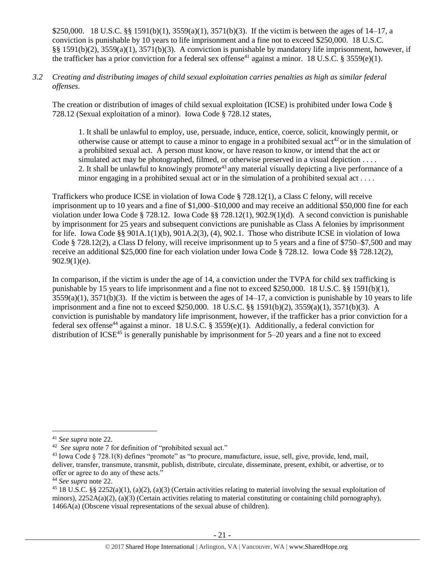\$250,000. 18 U.S.C. §§ 1591(b)(1), 3559(a)(1), 3571(b)(3). If the victim is between the ages of 14–17, a conviction is punishable by 10 years to life imprisonment and a fine not to exceed \$250,000. 18 U.S.C. §§ 1591(b)(2), 3559(a)(1), 3571(b)(3). A conviction is punishable by mandatory life imprisonment, however, if the trafficker has a prior conviction for a federal sex offense<sup>41</sup> against a minor. 18 U.S.C. § 3559(e)(1).

*3.2 Creating and distributing images of child sexual exploitation carries penalties as high as similar federal offenses.*

The creation or distribution of images of child sexual exploitation (ICSE) is prohibited under Iowa Code § 728.12 (Sexual exploitation of a minor). Iowa Code § 728.12 states,

1. It shall be unlawful to employ, use, persuade, induce, entice, coerce, solicit, knowingly permit, or otherwise cause or attempt to cause a minor to engage in a prohibited sexual  $\text{act}^{42}$  or in the simulation of a prohibited sexual act. A person must know, or have reason to know, or intend that the act or simulated act may be photographed, filmed, or otherwise preserved in a visual depiction . . . . 2. It shall be unlawful to knowingly promote<sup>43</sup> any material visually depicting a live performance of a minor engaging in a prohibited sexual act or in the simulation of a prohibited sexual act . . . .

Traffickers who produce ICSE in violation of Iowa Code § 728.12(1), a Class C felony, will receive imprisonment up to 10 years and a fine of \$1,000–\$10,000 and may receive an additional \$50,000 fine for each violation under Iowa Code § 728.12. Iowa Code §§ 728.12(1), 902.9(1)(d). A second conviction is punishable by imprisonment for 25 years and subsequent convictions are punishable as Class A felonies by imprisonment for life. Iowa Code §§ 901A.1(1)(b), 901A.2(3), (4), 902.1. Those who distribute ICSE in violation of Iowa Code § 728.12(2), a Class D felony, will receive imprisonment up to 5 years and a fine of \$750–\$7,500 and may receive an additional \$25,000 fine for each violation under Iowa Code § 728.12. Iowa Code §§ 728.12(2),  $902.9(1)(e)$ .

In comparison, if the victim is under the age of 14, a conviction under the TVPA for child sex trafficking is punishable by 15 years to life imprisonment and a fine not to exceed \$250,000. 18 U.S.C. §§ 1591(b)(1),  $3559(a)(1)$ ,  $3571(b)(3)$ . If the victim is between the ages of  $14-17$ , a conviction is punishable by 10 years to life imprisonment and a fine not to exceed \$250,000. 18 U.S.C. §§ 1591(b)(2), 3559(a)(1), 3571(b)(3). A conviction is punishable by mandatory life imprisonment, however, if the trafficker has a prior conviction for a federal sex offense<sup>44</sup> against a minor. 18 U.S.C. § 3559(e)(1). Additionally, a federal conviction for distribution of ICSE<sup>45</sup> is generally punishable by imprisonment for  $5-20$  years and a fine not to exceed

<sup>41</sup> *See supra* note [22.](#page-11-1)

<sup>42</sup> *See supra* note [7](#page-2-0) for definition of "prohibited sexual act."

<sup>&</sup>lt;sup>43</sup> Iowa Code  $\S$  728.1(8) defines "promote" as "to procure, manufacture, issue, sell, give, provide, lend, mail, deliver, transfer, transmute, transmit, publish, distribute, circulate, disseminate, present, exhibit, or advertise, or to offer or agree to do any of these acts."

<sup>44</sup> *See supra* note [22.](#page-11-1)

 $45\,18$  U.S.C. §§ 2252(a)(1), (a)(2), (a)(3) (Certain activities relating to material involving the sexual exploitation of minors),  $2252A(a)(2)$ , (a)(3) (Certain activities relating to material constituting or containing child pornography), 1466A(a) (Obscene visual representations of the sexual abuse of children).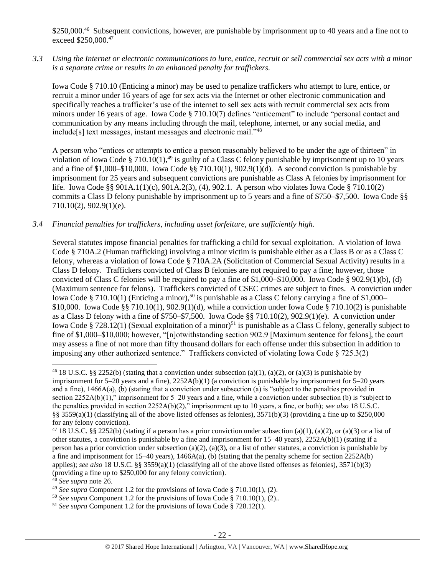\$250,000.<sup>46</sup> Subsequent convictions, however, are punishable by imprisonment up to 40 years and a fine not to exceed \$250,000.<sup>47</sup>

*3.3 Using the Internet or electronic communications to lure, entice, recruit or sell commercial sex acts with a minor is a separate crime or results in an enhanced penalty for traffickers.*

Iowa Code § 710.10 (Enticing a minor) may be used to penalize traffickers who attempt to lure, entice, or recruit a minor under 16 years of age for sex acts via the Internet or other electronic communication and specifically reaches a trafficker's use of the internet to sell sex acts with recruit commercial sex acts from minors under 16 years of age. Iowa Code § 710.10(7) defines "enticement" to include "personal contact and communication by any means including through the mail, telephone, internet, or any social media, and include[s] text messages, instant messages and electronic mail."<sup>48</sup>

A person who "entices or attempts to entice a person reasonably believed to be under the age of thirteen" in violation of Iowa Code § 710.10(1),<sup>49</sup> is guilty of a Class C felony punishable by imprisonment up to 10 years and a fine of \$1,000–\$10,000. Iowa Code §§ 710.10(1), 902.9(1)(d). A second conviction is punishable by imprisonment for 25 years and subsequent convictions are punishable as Class A felonies by imprisonment for life. Iowa Code §§ 901A.1(1)(c), 901A.2(3), (4), 902.1. A person who violates Iowa Code § 710.10(2) commits a Class D felony punishable by imprisonment up to 5 years and a fine of \$750–\$7,500. Iowa Code §§ 710.10(2), 902.9(1)(e).

# *3.4 Financial penalties for traffickers, including asset forfeiture, are sufficiently high.*

Several statutes impose financial penalties for trafficking a child for sexual exploitation. A violation of Iowa Code § 710A.2 (Human trafficking) involving a minor victim is punishable either as a Class B or as a Class C felony, whereas a violation of Iowa Code § 710A.2A (Solicitation of Commercial Sexual Activity) results in a Class D felony. Traffickers convicted of Class B felonies are not required to pay a fine; however, those convicted of Class C felonies will be required to pay a fine of \$1,000–\$10,000. Iowa Code § 902.9(1)(b), (d) (Maximum sentence for felons). Traffickers convicted of CSEC crimes are subject to fines. A conviction under Iowa Code § 710.10(1) (Enticing a minor),<sup>50</sup> is punishable as a Class C felony carrying a fine of \$1,000– \$10,000. Iowa Code §§ 710.10(1), 902.9(1)(d), while a conviction under Iowa Code § 710.10(2) is punishable as a Class D felony with a fine of \$750–\$7,500. Iowa Code §§ 710.10(2), 902.9(1)(e). A conviction under Iowa Code § 728.12(1) (Sexual exploitation of a minor)<sup>51</sup> is punishable as a Class C felony, generally subject to fine of \$1,000–\$10,000; however, "[n]otwithstanding section 902.9 [Maximum sentence for felons], the court may assess a fine of not more than fifty thousand dollars for each offense under this subsection in addition to imposing any other authorized sentence." Traffickers convicted of violating Iowa Code  $\S$  725.3(2)

<sup>&</sup>lt;sup>46</sup> 18 U.S.C. §§ 2252(b) (stating that a conviction under subsection (a)(1), (a)(2), or (a)(3) is punishable by imprisonment for 5–20 years and a fine), 2252A(b)(1) (a conviction is punishable by imprisonment for 5–20 years and a fine), 1466A(a), (b) (stating that a conviction under subsection (a) is "subject to the penalties provided in section 2252A(b)(1)," imprisonment for 5–20 years and a fine, while a conviction under subsection (b) is "subject to the penalties provided in section 2252A(b)(2)," imprisonment up to 10 years, a fine, or both); *see also* 18 U.S.C. §§ 3559(a)(1) (classifying all of the above listed offenses as felonies),  $3571(b)(3)$  (providing a fine up to \$250,000 for any felony conviction).

<sup>&</sup>lt;sup>47</sup> 18 U.S.C. §§ 2252(b) (stating if a person has a prior conviction under subsection (a)(1), (a)(2), or (a)(3) or a list of other statutes, a conviction is punishable by a fine and imprisonment for 15–40 years), 2252A(b)(1) (stating if a person has a prior conviction under subsection (a)(2), (a)(3), or a list of other statutes, a conviction is punishable by a fine and imprisonment for  $15-40$  years),  $1466A(a)$ , (b) (stating that the penalty scheme for section  $2252A(b)$ applies); *see also* 18 U.S.C. §§ 3559(a)(1) (classifying all of the above listed offenses as felonies), 3571(b)(3) (providing a fine up to \$250,000 for any felony conviction).

<sup>48</sup> *See supra* note [26.](#page-12-0)

<sup>49</sup> *See supra* Component 1.2 for the provisions of Iowa Code § 710.10(1), (2).

<sup>50</sup> *See supra* Component 1.2 for the provisions of Iowa Code § 710.10(1), (2)..

<sup>51</sup> *See supra* Component 1.2 for the provisions of Iowa Code § 728.12(1).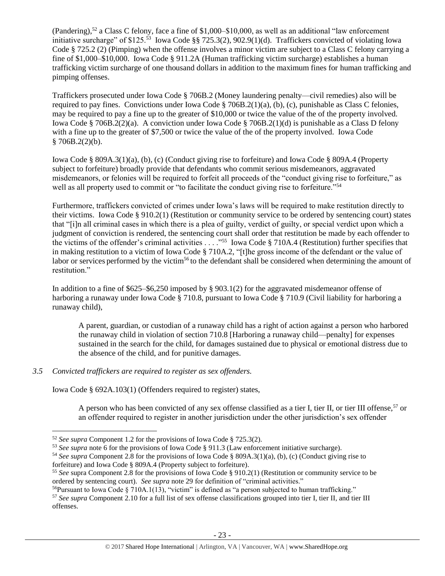(Pandering),<sup>52</sup> a Class C felony, face a fine of \$1,000–\$10,000, as well as an additional "law enforcement" initiative surcharge" of \$125.<sup>53</sup> Iowa Code §§ 725.3(2), 902.9(1)(d). Traffickers convicted of violating Iowa Code § 725.2 (2) (Pimping) when the offense involves a minor victim are subject to a Class C felony carrying a fine of \$1,000–\$10,000. Iowa Code § 911.2A (Human trafficking victim surcharge) establishes a human trafficking victim surcharge of one thousand dollars in addition to the maximum fines for human trafficking and pimping offenses.

Traffickers prosecuted under Iowa Code § 706B.2 (Money laundering penalty—civil remedies) also will be required to pay fines. Convictions under Iowa Code § 706B.2(1)(a), (b), (c), punishable as Class C felonies, may be required to pay a fine up to the greater of \$10,000 or twice the value of the of the property involved. Iowa Code § 706B.2(2)(a). A conviction under Iowa Code § 706B.2(1)(d) is punishable as a Class D felony with a fine up to the greater of \$7,500 or twice the value of the of the property involved. Iowa Code  $$706B.2(2)(b).$ 

Iowa Code § 809A.3(1)(a), (b), (c) (Conduct giving rise to forfeiture) and Iowa Code § 809A.4 (Property subject to forfeiture) broadly provide that defendants who commit serious misdemeanors, aggravated misdemeanors, or felonies will be required to forfeit all proceeds of the "conduct giving rise to forfeiture," as well as all property used to commit or "to facilitate the conduct giving rise to forfeiture."<sup>54</sup>

Furthermore, traffickers convicted of crimes under Iowa's laws will be required to make restitution directly to their victims. Iowa Code § 910.2(1) (Restitution or community service to be ordered by sentencing court) states that "[i]n all criminal cases in which there is a plea of guilty, verdict of guilty, or special verdict upon which a judgment of conviction is rendered, the sentencing court shall order that restitution be made by each offender to the victims of the offender's criminal activities . . . ."<sup>55</sup> Iowa Code § 710A.4 (Restitution) further specifies that in making restitution to a victim of Iowa Code § 710A.2, "[t]he gross income of the defendant or the value of labor or services performed by the victim<sup>56</sup> to the defendant shall be considered when determining the amount of restitution."

In addition to a fine of \$625–\$6,250 imposed by § 903.1(2) for the aggravated misdemeanor offense of harboring a runaway under Iowa Code § 710.8, pursuant to Iowa Code § 710.9 (Civil liability for harboring a runaway child),

<span id="page-22-0"></span>A parent, guardian, or custodian of a runaway child has a right of action against a person who harbored the runaway child in violation of section 710.8 [Harboring a runaway child—penalty] for expenses sustained in the search for the child, for damages sustained due to physical or emotional distress due to the absence of the child, and for punitive damages.

# *3.5 Convicted traffickers are required to register as sex offenders.*

 $\overline{a}$ 

Iowa Code § 692A.103(1) (Offenders required to register) states,

A person who has been convicted of any sex offense classified as a tier I, tier II, or tier III offense,<sup>57</sup> or an offender required to register in another jurisdiction under the other jurisdiction's sex offender

<sup>52</sup> *See supra* Component 1.2 for the provisions of Iowa Code § 725.3(2).

<sup>53</sup> *See supra* note [6](#page-2-1) for the provisions of Iowa Code § 911.3 (Law enforcement initiative surcharge).

<sup>54</sup> *See supra* Component 2.8 for the provisions of Iowa Code § 809A.3(1)(a), (b), (c) (Conduct giving rise to forfeiture) and Iowa Code § 809A.4 (Property subject to forfeiture).

<sup>55</sup> *See* supra Component 2.8 for the provisions of Iowa Code § 910.2(1) (Restitution or community service to be ordered by sentencing court). *See supra* not[e 29](#page-14-0) for definition of "criminal activities."

<sup>56</sup>Pursuant to Iowa Code § 710A.1(13), "victim" is defined as "a person subjected to human trafficking."

<sup>57</sup> *See supra* Component 2.10 for a full list of sex offense classifications grouped into tier I, tier II, and tier III offenses.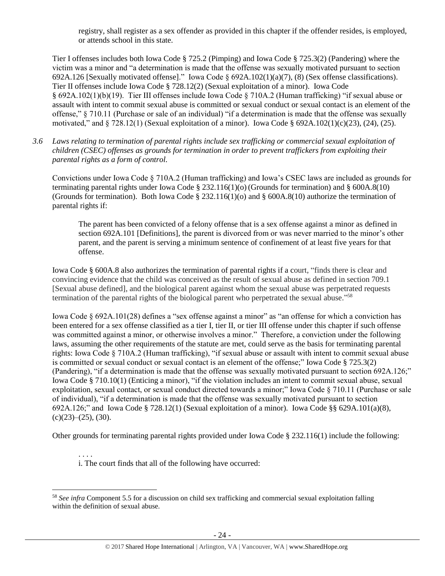registry, shall register as a sex offender as provided in this chapter if the offender resides, is employed, or attends school in this state.

Tier I offenses includes both Iowa Code § 725.2 (Pimping) and Iowa Code § 725.3(2) (Pandering) where the victim was a minor and "a determination is made that the offense was sexually motivated pursuant to section 692A.126 [Sexually motivated offense]." Iowa Code § 692A.102(1)(a)(7), (8) (Sex offense classifications). Tier II offenses include Iowa Code § 728.12(2) (Sexual exploitation of a minor). Iowa Code § 692A.102(1)(b)(19). Tier III offenses include Iowa Code § 710A.2 (Human trafficking) "if sexual abuse or assault with intent to commit sexual abuse is committed or sexual conduct or sexual contact is an element of the offense," § 710.11 (Purchase or sale of an individual) "if a determination is made that the offense was sexually motivated," and § 728.12(1) (Sexual exploitation of a minor). Iowa Code § 692A.102(1)(c)(23), (24), (25).

*3.6 Laws relating to termination of parental rights include sex trafficking or commercial sexual exploitation of children (CSEC) offenses as grounds for termination in order to prevent traffickers from exploiting their parental rights as a form of control.* 

Convictions under Iowa Code § 710A.2 (Human trafficking) and Iowa's CSEC laws are included as grounds for terminating parental rights under Iowa Code § 232.116(1)(o) (Grounds for termination) and § 600A.8(10) (Grounds for termination). Both Iowa Code § 232.116(1)(o) and § 600A.8(10) authorize the termination of parental rights if:

The parent has been convicted of a felony offense that is a sex offense against a minor as defined in section 692A.101 [Definitions], the parent is divorced from or was never married to the minor's other parent, and the parent is serving a minimum sentence of confinement of at least five years for that offense.

Iowa Code § 600A.8 also authorizes the termination of parental rights if a court, "finds there is clear and convincing evidence that the child was conceived as the result of sexual abuse as defined in section 709.1 [Sexual abuse defined], and the biological parent against whom the sexual abuse was perpetrated requests termination of the parental rights of the biological parent who perpetrated the sexual abuse."<sup>58</sup>

Iowa Code § 692A.101(28) defines a "sex offense against a minor" as "an offense for which a conviction has been entered for a sex offense classified as a tier I, tier II, or tier III offense under this chapter if such offense was committed against a minor, or otherwise involves a minor." Therefore, a conviction under the following laws, assuming the other requirements of the statute are met, could serve as the basis for terminating parental rights: Iowa Code § 710A.2 (Human trafficking), "if sexual abuse or assault with intent to commit sexual abuse is committed or sexual conduct or sexual contact is an element of the offense;" Iowa Code § 725.3(2) (Pandering), "if a determination is made that the offense was sexually motivated pursuant to section 692A.126;" Iowa Code § 710.10(1) (Enticing a minor), "if the violation includes an intent to commit sexual abuse, sexual exploitation, sexual contact, or sexual conduct directed towards a minor;" Iowa Code § 710.11 (Purchase or sale of individual), "if a determination is made that the offense was sexually motivated pursuant to section 692A.126;" and Iowa Code § 728.12(1) (Sexual exploitation of a minor). Iowa Code §§ 629A.101(a)(8),  $(c)(23)$ – $(25)$ ,  $(30)$ .

Other grounds for terminating parental rights provided under Iowa Code § 232.116(1) include the following:

. . . . i. The court finds that all of the following have occurred:

<sup>58</sup> *See infra* Component 5.5 for a discussion on child sex trafficking and commercial sexual exploitation falling within the definition of sexual abuse.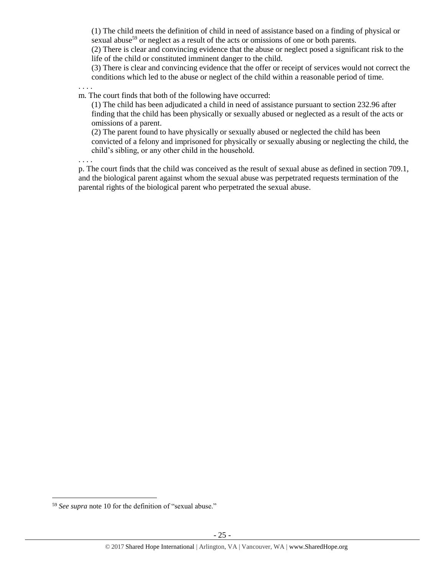(1) The child meets the definition of child in need of assistance based on a finding of physical or sexual abuse<sup>59</sup> or neglect as a result of the acts or omissions of one or both parents.

(2) There is clear and convincing evidence that the abuse or neglect posed a significant risk to the life of the child or constituted imminent danger to the child.

(3) There is clear and convincing evidence that the offer or receipt of services would not correct the conditions which led to the abuse or neglect of the child within a reasonable period of time.

. . . . m. The court finds that both of the following have occurred:

(1) The child has been adjudicated a child in need of assistance pursuant to section 232.96 after finding that the child has been physically or sexually abused or neglected as a result of the acts or omissions of a parent.

(2) The parent found to have physically or sexually abused or neglected the child has been convicted of a felony and imprisoned for physically or sexually abusing or neglecting the child, the child's sibling, or any other child in the household.

. . . .

p. The court finds that the child was conceived as the result of sexual abuse as defined in section 709.1, and the biological parent against whom the sexual abuse was perpetrated requests termination of the parental rights of the biological parent who perpetrated the sexual abuse.

<sup>59</sup> *See supra* note [10](#page-4-1) for the definition of "sexual abuse."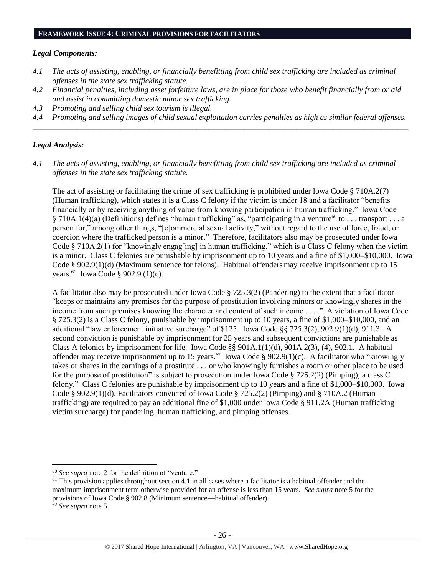#### **FRAMEWORK ISSUE 4: CRIMINAL PROVISIONS FOR FACILITATORS**

#### *Legal Components:*

- *4.1 The acts of assisting, enabling, or financially benefitting from child sex trafficking are included as criminal offenses in the state sex trafficking statute.*
- *4.2 Financial penalties, including asset forfeiture laws, are in place for those who benefit financially from or aid and assist in committing domestic minor sex trafficking.*
- *4.3 Promoting and selling child sex tourism is illegal.*
- *4.4 Promoting and selling images of child sexual exploitation carries penalties as high as similar federal offenses. \_\_\_\_\_\_\_\_\_\_\_\_\_\_\_\_\_\_\_\_\_\_\_\_\_\_\_\_\_\_\_\_\_\_\_\_\_\_\_\_\_\_\_\_\_\_\_\_\_\_\_\_\_\_\_\_\_\_\_\_\_\_\_\_\_\_\_\_\_\_\_\_\_\_\_\_\_\_\_\_\_\_\_\_\_\_\_\_\_\_\_\_\_\_*

## *Legal Analysis:*

*4.1 The acts of assisting, enabling, or financially benefitting from child sex trafficking are included as criminal offenses in the state sex trafficking statute.*

The act of assisting or facilitating the crime of sex trafficking is prohibited under Iowa Code § 710A.2(7) (Human trafficking), which states it is a Class C felony if the victim is under 18 and a facilitator "benefits financially or by receiving anything of value from knowing participation in human trafficking." Iowa Code § 710A.1(4)(a) (Definitions) defines "human trafficking" as, "participating in a venture<sup>60</sup> to . . . transport . . . a person for," among other things, "[c]ommercial sexual activity," without regard to the use of force, fraud, or coercion where the trafficked person is a minor." Therefore, facilitators also may be prosecuted under Iowa Code § 710A.2(1) for "knowingly engag[ing] in human trafficking," which is a Class C felony when the victim is a minor. Class C felonies are punishable by imprisonment up to 10 years and a fine of \$1,000–\$10,000. Iowa Code § 902.9(1)(d) (Maximum sentence for felons). Habitual offenders may receive imprisonment up to 15 years.<sup>61</sup> Iowa Code § 902.9 (1)(c).

A facilitator also may be prosecuted under Iowa Code § 725.3(2) (Pandering) to the extent that a facilitator "keeps or maintains any premises for the purpose of prostitution involving minors or knowingly shares in the income from such premises knowing the character and content of such income . . . ." A violation of Iowa Code § 725.3(2) is a Class C felony, punishable by imprisonment up to 10 years, a fine of \$1,000–\$10,000, and an additional "law enforcement initiative surcharge" of \$125. Iowa Code §§ 725.3(2), 902.9(1)(d), 911.3. A second conviction is punishable by imprisonment for 25 years and subsequent convictions are punishable as Class A felonies by imprisonment for life. Iowa Code §§ 901A.1(1)(d), 901A.2(3), (4), 902.1. A habitual offender may receive imprisonment up to 15 years.<sup>62</sup> Iowa Code § 902.9(1)(c). A facilitator who "knowingly takes or shares in the earnings of a prostitute . . . or who knowingly furnishes a room or other place to be used for the purpose of prostitution" is subject to prosecution under Iowa Code § 725.2(2) (Pimping), a class C felony." Class C felonies are punishable by imprisonment up to 10 years and a fine of \$1,000–\$10,000. Iowa Code § 902.9(1)(d). Facilitators convicted of Iowa Code § 725.2(2) (Pimping) and § 710A.2 (Human trafficking) are required to pay an additional fine of \$1,000 under Iowa Code § 911.2A (Human trafficking victim surcharge) for pandering, human trafficking, and pimping offenses.

<sup>60</sup> *See supra* note [2](#page-1-1) for the definition of "venture."

 $61$  This provision applies throughout section 4.1 in all cases where a facilitator is a habitual offender and the maximum imprisonment term otherwise provided for an offense is less than 15 years. *See supra* note [5](#page-1-0) for the provisions of Iowa Code § 902.8 (Minimum sentence—habitual offender).

<sup>62</sup> *See supra* note [5.](#page-1-0)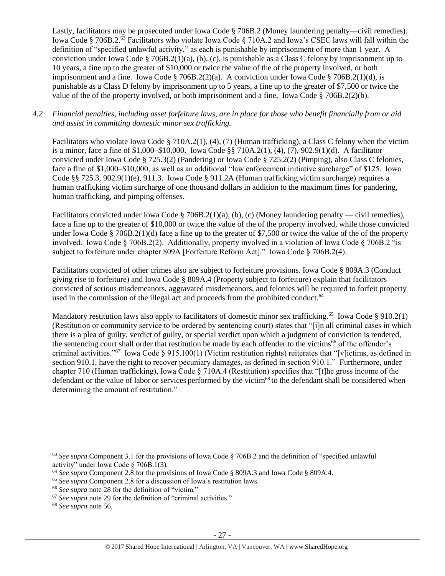Lastly, facilitators may be prosecuted under Iowa Code § 706B.2 (Money laundering penalty—civil remedies). Iowa Code § 706B.2.<sup>63</sup> Facilitators who violate Iowa Code § 710A.2 and Iowa's CSEC laws will fall within the definition of "specified unlawful activity," as each is punishable by imprisonment of more than 1 year. A conviction under Iowa Code § 706B.2(1)(a), (b), (c), is punishable as a Class C felony by imprisonment up to 10 years, a fine up to the greater of \$10,000 or twice the value of the of the property involved, or both imprisonment and a fine. Iowa Code § 706B.2(2)(a). A conviction under Iowa Code § 706B.2(1)(d), is punishable as a Class D felony by imprisonment up to 5 years, a fine up to the greater of \$7,500 or twice the value of the of the property involved, or both imprisonment and a fine. Iowa Code § 706B.2(2)(b).

## *4.2 Financial penalties, including asset forfeiture laws, are in place for those who benefit financially from or aid and assist in committing domestic minor sex trafficking.*

Facilitators who violate Iowa Code § 710A.2(1), (4), (7) (Human trafficking), a Class C felony when the victim is a minor, face a fine of \$1,000–\$10,000. Iowa Code §§ 710A.2(1), (4), (7), 902.9(1)(d). A facilitator convicted under Iowa Code § 725.3(2) (Pandering) or Iowa Code § 725.2(2) (Pimping), also Class C felonies, face a fine of \$1,000–\$10,000, as well as an additional "law enforcement initiative surcharge" of \$125. Iowa Code §§ 725.3, 902.9(1)(e), 911.3. Iowa Code § 911.2A (Human trafficking victim surcharge) requires a human trafficking victim surcharge of one thousand dollars in addition to the maximum fines for pandering, human trafficking, and pimping offenses.

Facilitators convicted under Iowa Code § 706B.2(1)(a), (b), (c) (Money laundering penalty — civil remedies), face a fine up to the greater of \$10,000 or twice the value of the of the property involved, while those convicted under Iowa Code § 706B.2(1)(d) face a fine up to the greater of \$7,500 or twice the value of the of the property involved. Iowa Code § 706B.2(2). Additionally, property involved in a violation of Iowa Code § 706B.2 "is subject to forfeiture under chapter 809A [Forfeiture Reform Act]." Iowa Code § 706B.2(4).

Facilitators convicted of other crimes also are subject to forfeiture provisions. Iowa Code § 809A.3 (Conduct giving rise to forfeiture) and Iowa Code § 809A.4 (Property subject to forfeiture) explain that facilitators convicted of serious misdemeanors, aggravated misdemeanors, and felonies will be required to forfeit property used in the commission of the illegal act and proceeds from the prohibited conduct.<sup>64</sup>

Mandatory restitution laws also apply to facilitators of domestic minor sex trafficking.<sup>65</sup> Iowa Code § 910.2(1) (Restitution or community service to be ordered by sentencing court) states that "[i]n all criminal cases in which there is a plea of guilty, verdict of guilty, or special verdict upon which a judgment of conviction is rendered, the sentencing court shall order that restitution be made by each offender to the victims<sup>66</sup> of the offender's criminal activities."<sup>67</sup> Iowa Code § 915.100(1) (Victim restitution rights) reiterates that "[v]ictims, as defined in section 910.1, have the right to recover pecuniary damages, as defined in section 910.1." Furthermore, under chapter 710 (Human trafficking), Iowa Code § 710A.4 (Restitution) specifies that "[t]he gross income of the defendant or the value of labor or services performed by the victim<sup>68</sup> to the defendant shall be considered when determining the amount of restitution."

<sup>63</sup> *See supra* Component 3.1 for the provisions of Iowa Code § 706B.2 and the definition of "specified unlawful activity" under Iowa Code § 706B.1(3).

<sup>64</sup> *See supra* Component 2.8 for the provisions of Iowa Code § 809A.3 and Iowa Code § 809A.4.

<sup>65</sup> *See supra* Component 2.8 for a discussion of Iowa's restitution laws.

<sup>66</sup> *See supra* note [28](#page-14-1) for the definition of "victim."

<sup>67</sup> *See supra* note [29](#page-14-0) for the definition of "criminal activities."

<sup>68</sup> *See supra* note [56.](#page-22-0)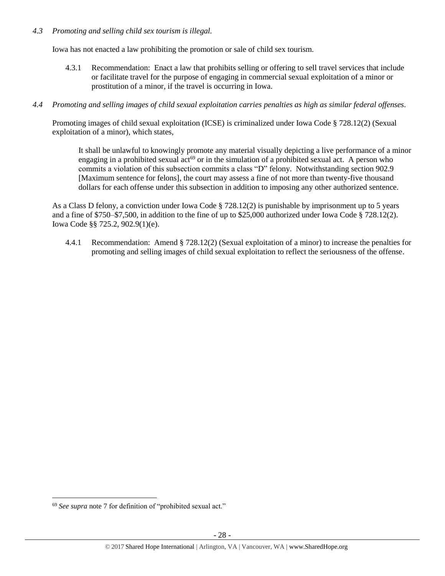## *4.3 Promoting and selling child sex tourism is illegal.*

Iowa has not enacted a law prohibiting the promotion or sale of child sex tourism.

- 4.3.1 Recommendation: Enact a law that prohibits selling or offering to sell travel services that include or facilitate travel for the purpose of engaging in commercial sexual exploitation of a minor or prostitution of a minor, if the travel is occurring in Iowa.
- *4.4 Promoting and selling images of child sexual exploitation carries penalties as high as similar federal offenses.*

Promoting images of child sexual exploitation (ICSE) is criminalized under Iowa Code § 728.12(2) (Sexual exploitation of a minor), which states,

It shall be unlawful to knowingly promote any material visually depicting a live performance of a minor engaging in a prohibited sexual  $act^{69}$  or in the simulation of a prohibited sexual act. A person who commits a violation of this subsection commits a class "D" felony. Notwithstanding section 902.9 [Maximum sentence for felons], the court may assess a fine of not more than twenty-five thousand dollars for each offense under this subsection in addition to imposing any other authorized sentence.

As a Class D felony, a conviction under Iowa Code § 728.12(2) is punishable by imprisonment up to 5 years and a fine of \$750–\$7,500, in addition to the fine of up to \$25,000 authorized under Iowa Code § 728.12(2). Iowa Code §§ 725.2, 902.9(1)(e).

4.4.1 Recommendation: Amend § 728.12(2) (Sexual exploitation of a minor) to increase the penalties for promoting and selling images of child sexual exploitation to reflect the seriousness of the offense.

<sup>69</sup> *See supra* note [7](#page-2-0) for definition of "prohibited sexual act."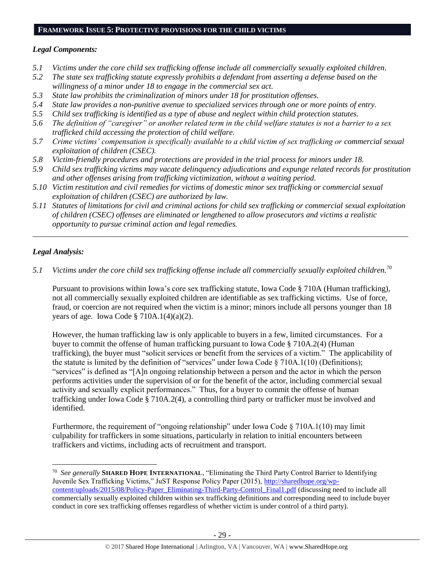# **FRAMEWORK ISSUE 5: PROTECTIVE PROVISIONS FOR THE CHILD VICTIMS**

## *Legal Components:*

- *5.1 Victims under the core child sex trafficking offense include all commercially sexually exploited children.*
- *5.2 The state sex trafficking statute expressly prohibits a defendant from asserting a defense based on the willingness of a minor under 18 to engage in the commercial sex act.*
- *5.3 State law prohibits the criminalization of minors under 18 for prostitution offenses.*
- *5.4 State law provides a non-punitive avenue to specialized services through one or more points of entry.*
- *5.5 Child sex trafficking is identified as a type of abuse and neglect within child protection statutes.*
- *5.6 The definition of "caregiver" or another related term in the child welfare statutes is not a barrier to a sex trafficked child accessing the protection of child welfare.*
- *5.7 Crime victims' compensation is specifically available to a child victim of sex trafficking or commercial sexual exploitation of children (CSEC).*
- *5.8 Victim-friendly procedures and protections are provided in the trial process for minors under 18.*
- *5.9 Child sex trafficking victims may vacate delinquency adjudications and expunge related records for prostitution and other offenses arising from trafficking victimization, without a waiting period.*
- *5.10 Victim restitution and civil remedies for victims of domestic minor sex trafficking or commercial sexual exploitation of children (CSEC) are authorized by law.*
- *5.11 Statutes of limitations for civil and criminal actions for child sex trafficking or commercial sexual exploitation of children (CSEC) offenses are eliminated or lengthened to allow prosecutors and victims a realistic opportunity to pursue criminal action and legal remedies.*

*\_\_\_\_\_\_\_\_\_\_\_\_\_\_\_\_\_\_\_\_\_\_\_\_\_\_\_\_\_\_\_\_\_\_\_\_\_\_\_\_\_\_\_\_\_\_\_\_\_\_\_\_\_\_\_\_\_\_\_\_\_\_\_\_\_\_\_\_\_\_\_\_\_\_\_\_\_\_\_\_\_\_\_\_\_\_\_\_\_\_\_\_\_\_*

# *Legal Analysis:*

 $\overline{a}$ 

*5.1 Victims under the core child sex trafficking offense include all commercially sexually exploited children.<sup>70</sup>*

Pursuant to provisions within Iowa's core sex trafficking statute, Iowa Code § 710A (Human trafficking), not all commercially sexually exploited children are identifiable as sex trafficking victims. Use of force, fraud, or coercion are not required when the victim is a minor; minors include all persons younger than 18 years of age. Iowa Code §  $710A.1(4)(a)(2)$ .

However, the human trafficking law is only applicable to buyers in a few, limited circumstances. For a buyer to commit the offense of human trafficking pursuant to Iowa Code § 710A.2(4) (Human trafficking), the buyer must "solicit services or benefit from the services of a victim." The applicability of the statute is limited by the definition of "services" under Iowa Code  $\S 710A.1(10)$  (Definitions); "services" is defined as "[A]n ongoing relationship between a person and the actor in which the person performs activities under the supervision of or for the benefit of the actor, including commercial sexual activity and sexually explicit performances." Thus, for a buyer to commit the offense of human trafficking under Iowa Code § 710A.2(4), a controlling third party or trafficker must be involved and identified.

Furthermore, the requirement of "ongoing relationship" under Iowa Code § 710A.1(10) may limit culpability for traffickers in some situations, particularly in relation to initial encounters between traffickers and victims, including acts of recruitment and transport.

<sup>70</sup> *See generally* **SHARED HOPE INTERNATIONAL**, "Eliminating the Third Party Control Barrier to Identifying Juvenile Sex Trafficking Victims," JuST Response Policy Paper (2015), [http://sharedhope.org/wp](http://sharedhope.org/wp-content/uploads/2015/08/Policy-Paper_Eliminating-Third-Party-Control_Final1.pdf)[content/uploads/2015/08/Policy-Paper\\_Eliminating-Third-Party-Control\\_Final1.pdf](http://sharedhope.org/wp-content/uploads/2015/08/Policy-Paper_Eliminating-Third-Party-Control_Final1.pdf) (discussing need to include all commercially sexually exploited children within sex trafficking definitions and corresponding need to include buyer conduct in core sex trafficking offenses regardless of whether victim is under control of a third party).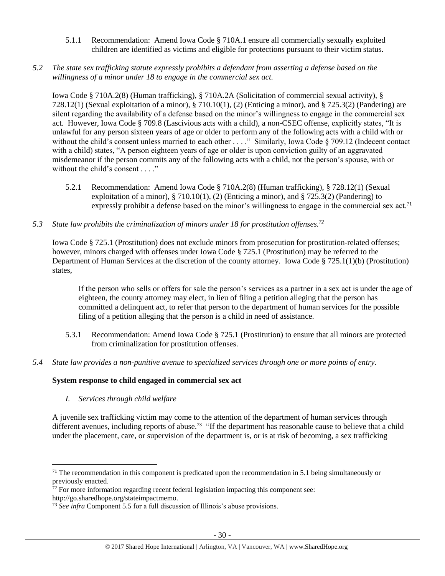- 5.1.1 Recommendation: Amend Iowa Code § 710A.1 ensure all commercially sexually exploited children are identified as victims and eligible for protections pursuant to their victim status.
- *5.2 The state sex trafficking statute expressly prohibits a defendant from asserting a defense based on the willingness of a minor under 18 to engage in the commercial sex act.*

Iowa Code § 710A.2(8) (Human trafficking), § 710A.2A (Solicitation of commercial sexual activity), § 728.12(1) (Sexual exploitation of a minor), § 710.10(1), (2) (Enticing a minor), and § 725.3(2) (Pandering) are silent regarding the availability of a defense based on the minor's willingness to engage in the commercial sex act. However, Iowa Code § 709.8 (Lascivious acts with a child), a non-CSEC offense, explicitly states, "It is unlawful for any person sixteen years of age or older to perform any of the following acts with a child with or without the child's consent unless married to each other . . . ." Similarly, Iowa Code § 709.12 (Indecent contact with a child) states, "A person eighteen years of age or older is upon conviction guilty of an aggravated misdemeanor if the person commits any of the following acts with a child, not the person's spouse, with or without the child's consent . . . ."

- 5.2.1 Recommendation: Amend Iowa Code § 710A.2(8) (Human trafficking), § 728.12(1) (Sexual exploitation of a minor),  $\S$  710.10(1), (2) (Enticing a minor), and  $\S$  725.3(2) (Pandering) to expressly prohibit a defense based on the minor's willingness to engage in the commercial sex act.<sup>71</sup>
- *5.3 State law prohibits the criminalization of minors under 18 for prostitution offenses.<sup>72</sup>*

Iowa Code § 725.1 (Prostitution) does not exclude minors from prosecution for prostitution-related offenses; however, minors charged with offenses under Iowa Code § 725.1 (Prostitution) may be referred to the Department of Human Services at the discretion of the county attorney. Iowa Code § 725.1(1)(b) (Prostitution) states,

If the person who sells or offers for sale the person's services as a partner in a sex act is under the age of eighteen, the county attorney may elect, in lieu of filing a petition alleging that the person has committed a delinquent act, to refer that person to the department of human services for the possible filing of a petition alleging that the person is a child in need of assistance.

- 5.3.1 Recommendation: Amend Iowa Code § 725.1 (Prostitution) to ensure that all minors are protected from criminalization for prostitution offenses.
- *5.4 State law provides a non-punitive avenue to specialized services through one or more points of entry.*

# **System response to child engaged in commercial sex act**

*I. Services through child welfare*

 $\overline{a}$ 

A juvenile sex trafficking victim may come to the attention of the department of human services through different avenues, including reports of abuse.<sup>73</sup> "If the department has reasonable cause to believe that a child under the placement, care, or supervision of the department is, or is at risk of becoming, a sex trafficking

 $71$  The recommendation in this component is predicated upon the recommendation in 5.1 being simultaneously or previously enacted.

 $72$  For more information regarding recent federal legislation impacting this component see: http://go.sharedhope.org/stateimpactmemo.

<sup>73</sup> *See infra* Component 5.5 for a full discussion of Illinois's abuse provisions.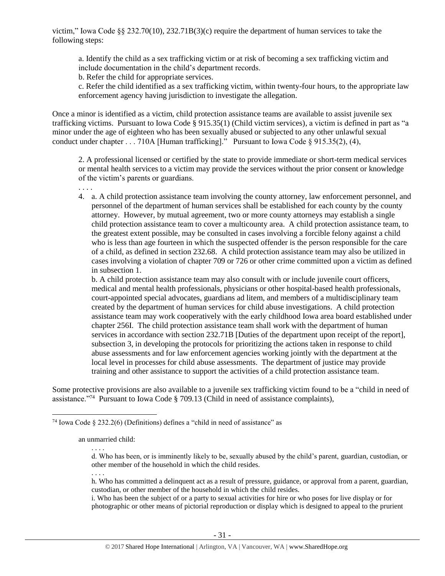victim," Iowa Code §§ 232.70(10), 232.71B(3)(c) require the department of human services to take the following steps:

a. Identify the child as a sex trafficking victim or at risk of becoming a sex trafficking victim and include documentation in the child's department records.

b. Refer the child for appropriate services.

c. Refer the child identified as a sex trafficking victim, within twenty-four hours, to the appropriate law enforcement agency having jurisdiction to investigate the allegation.

Once a minor is identified as a victim, child protection assistance teams are available to assist juvenile sex trafficking victims. Pursuant to Iowa Code § 915.35(1) (Child victim services), a victim is defined in part as "a minor under the age of eighteen who has been sexually abused or subjected to any other unlawful sexual conduct under chapter . . . 710A [Human trafficking]." Pursuant to Iowa Code § 915.35(2), (4),

2. A professional licensed or certified by the state to provide immediate or short-term medical services or mental health services to a victim may provide the services without the prior consent or knowledge of the victim's parents or guardians.

4. a. A child protection assistance team involving the county attorney, law enforcement personnel, and personnel of the department of human services shall be established for each county by the county attorney. However, by mutual agreement, two or more county attorneys may establish a single child protection assistance team to cover a multicounty area. A child protection assistance team, to the greatest extent possible, may be consulted in cases involving a forcible felony against a child who is less than age fourteen in which the suspected offender is the person responsible for the care of a child, as defined in section 232.68. A child protection assistance team may also be utilized in cases involving a violation of chapter 709 or 726 or other crime committed upon a victim as defined in subsection 1.

b. A child protection assistance team may also consult with or include juvenile court officers, medical and mental health professionals, physicians or other hospital-based health professionals, court-appointed special advocates, guardians ad litem, and members of a multidisciplinary team created by the department of human services for child abuse investigations. A child protection assistance team may work cooperatively with the early childhood Iowa area board established under chapter 256I. The child protection assistance team shall work with the department of human services in accordance with section 232.71B [Duties of the department upon receipt of the report], subsection 3, in developing the protocols for prioritizing the actions taken in response to child abuse assessments and for law enforcement agencies working jointly with the department at the local level in processes for child abuse assessments. The department of justice may provide training and other assistance to support the activities of a child protection assistance team.

Some protective provisions are also available to a juvenile sex trafficking victim found to be a "child in need of assistance."<sup>74</sup> Pursuant to Iowa Code § 709.13 (Child in need of assistance complaints),

. . . .

. . . .

 $\overline{a}$ 

. . . .

h. Who has committed a delinquent act as a result of pressure, guidance, or approval from a parent, guardian, custodian, or other member of the household in which the child resides.

i. Who has been the subject of or a party to sexual activities for hire or who poses for live display or for photographic or other means of pictorial reproduction or display which is designed to appeal to the prurient

<sup>&</sup>lt;sup>74</sup> Iowa Code § 232.2(6) (Definitions) defines a "child in need of assistance" as

an unmarried child:

d. Who has been, or is imminently likely to be, sexually abused by the child's parent, guardian, custodian, or other member of the household in which the child resides.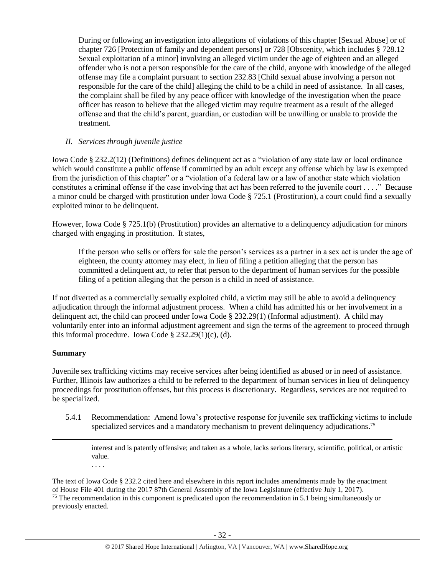During or following an investigation into allegations of violations of this chapter [Sexual Abuse] or of chapter 726 [Protection of family and dependent persons] or 728 [Obscenity, which includes § 728.12 Sexual exploitation of a minor] involving an alleged victim under the age of eighteen and an alleged offender who is not a person responsible for the care of the child, anyone with knowledge of the alleged offense may file a complaint pursuant to section 232.83 [Child sexual abuse involving a person not responsible for the care of the child] alleging the child to be a child in need of assistance. In all cases, the complaint shall be filed by any peace officer with knowledge of the investigation when the peace officer has reason to believe that the alleged victim may require treatment as a result of the alleged offense and that the child's parent, guardian, or custodian will be unwilling or unable to provide the treatment.

## *II. Services through juvenile justice*

Iowa Code § 232.2(12) (Definitions) defines delinquent act as a "violation of any state law or local ordinance which would constitute a public offense if committed by an adult except any offense which by law is exempted from the jurisdiction of this chapter" or a "violation of a federal law or a law of another state which violation constitutes a criminal offense if the case involving that act has been referred to the juvenile court . . . ." Because a minor could be charged with prostitution under Iowa Code § 725.1 (Prostitution), a court could find a sexually exploited minor to be delinquent.

However, Iowa Code § 725.1(b) (Prostitution) provides an alternative to a delinquency adjudication for minors charged with engaging in prostitution. It states,

If the person who sells or offers for sale the person's services as a partner in a sex act is under the age of eighteen, the county attorney may elect, in lieu of filing a petition alleging that the person has committed a delinquent act, to refer that person to the department of human services for the possible filing of a petition alleging that the person is a child in need of assistance.

If not diverted as a commercially sexually exploited child, a victim may still be able to avoid a delinquency adjudication through the informal adjustment process. When a child has admitted his or her involvement in a delinquent act, the child can proceed under Iowa Code § 232.29(1) (Informal adjustment). A child may voluntarily enter into an informal adjustment agreement and sign the terms of the agreement to proceed through this informal procedure. Iowa Code  $\S 232.29(1)(c)$ , (d).

# **Summary**

 $\overline{a}$ 

Juvenile sex trafficking victims may receive services after being identified as abused or in need of assistance. Further, Illinois law authorizes a child to be referred to the department of human services in lieu of delinquency proceedings for prostitution offenses, but this process is discretionary. Regardless, services are not required to be specialized.

5.4.1 Recommendation: Amend Iowa's protective response for juvenile sex trafficking victims to include specialized services and a mandatory mechanism to prevent delinquency adjudications.<sup>75</sup>

interest and is patently offensive; and taken as a whole, lacks serious literary, scientific, political, or artistic value.

. . . .

The text of Iowa Code § 232.2 cited here and elsewhere in this report includes amendments made by the enactment of House File 401 during the 2017 87th General Assembly of the Iowa Legislature (effective July 1, 2017). <sup>75</sup> The recommendation in this component is predicated upon the recommendation in 5.1 being simultaneously or previously enacted.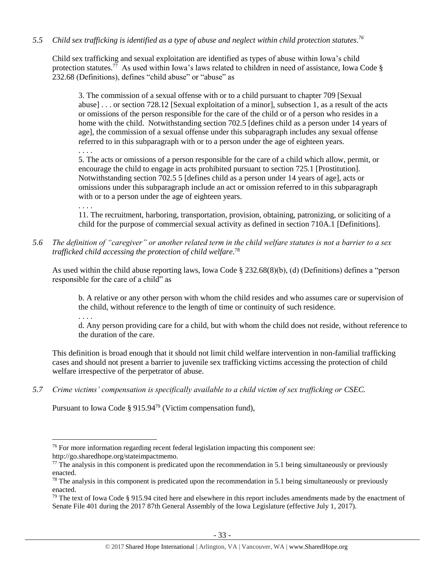# *5.5 Child sex trafficking is identified as a type of abuse and neglect within child protection statutes. 76*

Child sex trafficking and sexual exploitation are identified as types of abuse within Iowa's child protection statutes.<sup>77</sup> As used within Iowa's laws related to children in need of assistance, Iowa Code § 232.68 (Definitions), defines "child abuse" or "abuse" as

3. The commission of a sexual offense with or to a child pursuant to chapter 709 [Sexual abuse] . . . or section 728.12 [Sexual exploitation of a minor], subsection 1, as a result of the acts or omissions of the person responsible for the care of the child or of a person who resides in a home with the child. Notwithstanding section 702.5 [defines child as a person under 14 years of age], the commission of a sexual offense under this subparagraph includes any sexual offense referred to in this subparagraph with or to a person under the age of eighteen years.

. . . .

5. The acts or omissions of a person responsible for the care of a child which allow, permit, or encourage the child to engage in acts prohibited pursuant to section 725.1 [Prostitution]. Notwithstanding section 702.5 5 [defines child as a person under 14 years of age], acts or omissions under this subparagraph include an act or omission referred to in this subparagraph with or to a person under the age of eighteen years.

. . . .

11. The recruitment, harboring, transportation, provision, obtaining, patronizing, or soliciting of a child for the purpose of commercial sexual activity as defined in section 710A.1 [Definitions].

*5.6 The definition of "caregiver" or another related term in the child welfare statutes is not a barrier to a sex trafficked child accessing the protection of child welfare.* 78

As used within the child abuse reporting laws, Iowa Code § 232.68(8)(b), (d) (Definitions) defines a "person responsible for the care of a child" as

b. A relative or any other person with whom the child resides and who assumes care or supervision of the child, without reference to the length of time or continuity of such residence.

. . . . d. Any person providing care for a child, but with whom the child does not reside, without reference to the duration of the care.

This definition is broad enough that it should not limit child welfare intervention in non-familial trafficking cases and should not present a barrier to juvenile sex trafficking victims accessing the protection of child welfare irrespective of the perpetrator of abuse.

*5.7 Crime victims' compensation is specifically available to a child victim of sex trafficking or CSEC.*

Pursuant to Iowa Code § 915.94<sup>79</sup> (Victim compensation fund),

http://go.sharedhope.org/stateimpactmemo.

 $76$  For more information regarding recent federal legislation impacting this component see:

 $77$  The analysis in this component is predicated upon the recommendation in 5.1 being simultaneously or previously enacted.

 $78$  The analysis in this component is predicated upon the recommendation in 5.1 being simultaneously or previously enacted.

 $79$  The text of Iowa Code § 915.94 cited here and elsewhere in this report includes amendments made by the enactment of Senate File 401 during the 2017 87th General Assembly of the Iowa Legislature (effective July 1, 2017).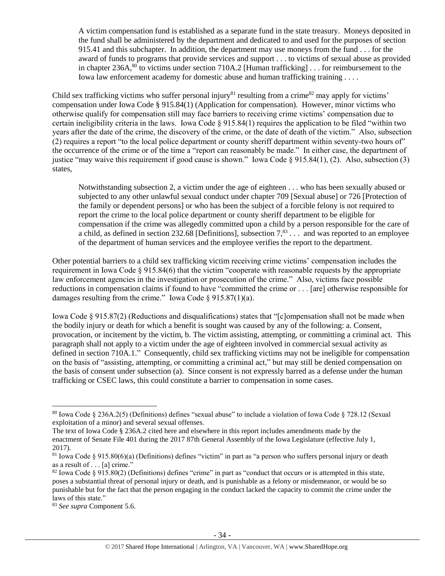A victim compensation fund is established as a separate fund in the state treasury. Moneys deposited in the fund shall be administered by the department and dedicated to and used for the purposes of section 915.41 and this subchapter. In addition, the department may use moneys from the fund . . . for the award of funds to programs that provide services and support . . . to victims of sexual abuse as provided in chapter 236A,<sup>80</sup> to victims under section 710A.2 [Human trafficking]  $\dots$  for reimbursement to the Iowa law enforcement academy for domestic abuse and human trafficking training . . . .

Child sex trafficking victims who suffer personal injury<sup>81</sup> resulting from a crime<sup>82</sup> may apply for victims' compensation under Iowa Code § 915.84(1) (Application for compensation). However, minor victims who otherwise qualify for compensation still may face barriers to receiving crime victims' compensation due to certain ineligibility criteria in the laws. Iowa Code  $\S 915.84(1)$  requires the application to be filed "within two years after the date of the crime, the discovery of the crime, or the date of death of the victim." Also, subsection (2) requires a report "to the local police department or county sheriff department within seventy-two hours of" the occurrence of the crime or of the time a "report can reasonably be made." In either case, the department of justice "may waive this requirement if good cause is shown." Iowa Code § 915.84(1), (2). Also, subsection (3) states,

Notwithstanding subsection 2, a victim under the age of eighteen . . . who has been sexually abused or subjected to any other unlawful sexual conduct under chapter 709 [Sexual abuse] or 726 [Protection of the family or dependent persons] or who has been the subject of a forcible felony is not required to report the crime to the local police department or county sheriff department to be eligible for compensation if the crime was allegedly committed upon a child by a person responsible for the care of a child, as defined in section 232.68 [Definitions], subsection  $7<sup>83</sup>$ ... and was reported to an employee of the department of human services and the employee verifies the report to the department.

Other potential barriers to a child sex trafficking victim receiving crime victims' compensation includes the requirement in Iowa Code § 915.84(6) that the victim "cooperate with reasonable requests by the appropriate law enforcement agencies in the investigation or prosecution of the crime." Also, victims face possible reductions in compensation claims if found to have "committed the crime or . . . [are] otherwise responsible for damages resulting from the crime." Iowa Code § 915.87(1)(a).

Iowa Code § 915.87(2) (Reductions and disqualifications) states that "[c]ompensation shall not be made when the bodily injury or death for which a benefit is sought was caused by any of the following: a. Consent, provocation, or incitement by the victim, b. The victim assisting, attempting, or committing a criminal act. This paragraph shall not apply to a victim under the age of eighteen involved in commercial sexual activity as defined in section 710A.1." Consequently, child sex trafficking victims may not be ineligible for compensation on the basis of "assisting, attempting, or committing a criminal act," but may still be denied compensation on the basis of consent under subsection (a). Since consent is not expressly barred as a defense under the human trafficking or CSEC laws, this could constitute a barrier to compensation in some cases.

<sup>80</sup> Iowa Code § 236A.2(5) (Definitions) defines "sexual abuse" to include a violation of Iowa Code § 728.12 (Sexual exploitation of a minor) and several sexual offenses.

The text of Iowa Code § 236A.2 cited here and elsewhere in this report includes amendments made by the enactment of Senate File 401 during the 2017 87th General Assembly of the Iowa Legislature (effective July 1, 2017).

 $81$  Iowa Code § 915.80(6)(a) (Definitions) defines "victim" in part as "a person who suffers personal injury or death as a result of . . . [a] crime."

 $82$  Iowa Code § 915.80(2) (Definitions) defines "crime" in part as "conduct that occurs or is attempted in this state, poses a substantial threat of personal injury or death, and is punishable as a felony or misdemeanor, or would be so punishable but for the fact that the person engaging in the conduct lacked the capacity to commit the crime under the laws of this state."

<sup>83</sup> *See supra* Component 5.6.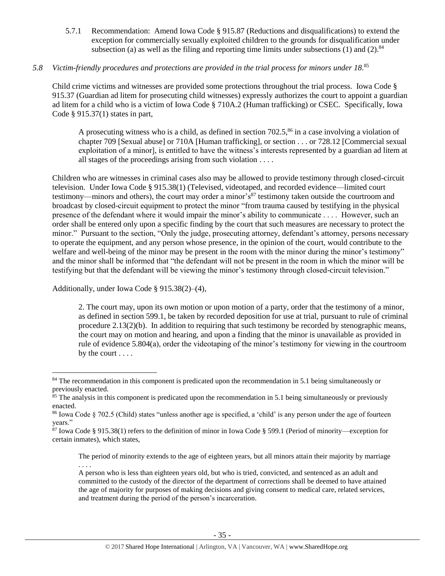5.7.1 Recommendation: Amend Iowa Code § 915.87 (Reductions and disqualifications) to extend the exception for commercially sexually exploited children to the grounds for disqualification under subsection (a) as well as the filing and reporting time limits under subsections (1) and (2).  $84$ 

# *5.8 Victim-friendly procedures and protections are provided in the trial process for minors under 18.* 85

Child crime victims and witnesses are provided some protections throughout the trial process. Iowa Code § 915.37 (Guardian ad litem for prosecuting child witnesses) expressly authorizes the court to appoint a guardian ad litem for a child who is a victim of Iowa Code § 710A.2 (Human trafficking) or CSEC. Specifically, Iowa Code § 915.37(1) states in part,

A prosecuting witness who is a child, as defined in section  $702.5$ ,<sup>86</sup> in a case involving a violation of chapter 709 [Sexual abuse] or 710A [Human trafficking], or section . . . or 728.12 [Commercial sexual exploitation of a minor], is entitled to have the witness's interests represented by a guardian ad litem at all stages of the proceedings arising from such violation . . . .

Children who are witnesses in criminal cases also may be allowed to provide testimony through closed-circuit television. Under Iowa Code § 915.38(1) (Televised, videotaped, and recorded evidence—limited court testimony—minors and others), the court may order a minor's<sup>87</sup> testimony taken outside the courtroom and broadcast by closed-circuit equipment to protect the minor "from trauma caused by testifying in the physical presence of the defendant where it would impair the minor's ability to communicate . . . . However, such an order shall be entered only upon a specific finding by the court that such measures are necessary to protect the minor." Pursuant to the section, "Only the judge, prosecuting attorney, defendant's attorney, persons necessary to operate the equipment, and any person whose presence, in the opinion of the court, would contribute to the welfare and well-being of the minor may be present in the room with the minor during the minor's testimony" and the minor shall be informed that "the defendant will not be present in the room in which the minor will be testifying but that the defendant will be viewing the minor's testimony through closed-circuit television."

Additionally, under Iowa Code § 915.38(2)–(4),

 $\overline{a}$ 

2. The court may, upon its own motion or upon motion of a party, order that the testimony of a minor, as defined in section 599.1, be taken by recorded deposition for use at trial, pursuant to rule of criminal procedure 2.13(2)(b). In addition to requiring that such testimony be recorded by stenographic means, the court may on motion and hearing, and upon a finding that the minor is unavailable as provided in rule of evidence 5.804(a), order the videotaping of the minor's testimony for viewing in the courtroom by the court . . . .

The period of minority extends to the age of eighteen years, but all minors attain their majority by marriage . . . .

<sup>&</sup>lt;sup>84</sup> The recommendation in this component is predicated upon the recommendation in 5.1 being simultaneously or previously enacted.

 $85$  The analysis in this component is predicated upon the recommendation in 5.1 being simultaneously or previously enacted.

 $86$  Iowa Code  $\S$  702.5 (Child) states "unless another age is specified, a 'child' is any person under the age of fourteen years."

 $87$  Iowa Code § 915.38(1) refers to the definition of minor in Iowa Code § 599.1 (Period of minority—exception for certain inmates), which states,

A person who is less than eighteen years old, but who is tried, convicted, and sentenced as an adult and committed to the custody of the director of the department of corrections shall be deemed to have attained the age of majority for purposes of making decisions and giving consent to medical care, related services, and treatment during the period of the person's incarceration.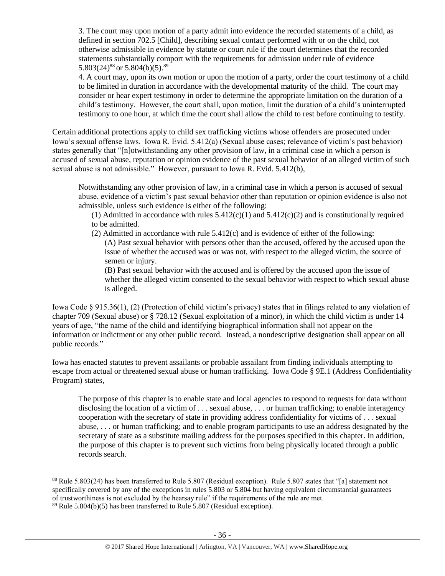3. The court may upon motion of a party admit into evidence the recorded statements of a child, as defined in section 702.5 [Child], describing sexual contact performed with or on the child, not otherwise admissible in evidence by statute or court rule if the court determines that the recorded statements substantially comport with the requirements for admission under rule of evidence 5.803(24)<sup>88</sup> or 5.804(b)(5).<sup>89</sup>

4. A court may, upon its own motion or upon the motion of a party, order the court testimony of a child to be limited in duration in accordance with the developmental maturity of the child. The court may consider or hear expert testimony in order to determine the appropriate limitation on the duration of a child's testimony. However, the court shall, upon motion, limit the duration of a child's uninterrupted testimony to one hour, at which time the court shall allow the child to rest before continuing to testify.

Certain additional protections apply to child sex trafficking victims whose offenders are prosecuted under Iowa's sexual offense laws. Iowa R. Evid. 5.412(a) (Sexual abuse cases; relevance of victim's past behavior) states generally that "[n]otwithstanding any other provision of law, in a criminal case in which a person is accused of sexual abuse, reputation or opinion evidence of the past sexual behavior of an alleged victim of such sexual abuse is not admissible." However, pursuant to Iowa R. Evid. 5.412(b),

Notwithstanding any other provision of law, in a criminal case in which a person is accused of sexual abuse, evidence of a victim's past sexual behavior other than reputation or opinion evidence is also not admissible, unless such evidence is either of the following:

(1) Admitted in accordance with rules  $5.412(c)(1)$  and  $5.412(c)(2)$  and is constitutionally required to be admitted.

(2) Admitted in accordance with rule 5.412(c) and is evidence of either of the following: (A) Past sexual behavior with persons other than the accused, offered by the accused upon the issue of whether the accused was or was not, with respect to the alleged victim, the source of semen or injury.

(B) Past sexual behavior with the accused and is offered by the accused upon the issue of whether the alleged victim consented to the sexual behavior with respect to which sexual abuse is alleged.

Iowa Code § 915.36(1), (2) (Protection of child victim's privacy) states that in filings related to any violation of chapter 709 (Sexual abuse) or § 728.12 (Sexual exploitation of a minor), in which the child victim is under 14 years of age, "the name of the child and identifying biographical information shall not appear on the information or indictment or any other public record. Instead, a nondescriptive designation shall appear on all public records."

Iowa has enacted statutes to prevent assailants or probable assailant from finding individuals attempting to escape from actual or threatened sexual abuse or human trafficking. Iowa Code § 9E.1 (Address Confidentiality Program) states,

The purpose of this chapter is to enable state and local agencies to respond to requests for data without disclosing the location of a victim of . . . sexual abuse, . . . or human trafficking; to enable interagency cooperation with the secretary of state in providing address confidentiality for victims of . . . sexual abuse, . . . or human trafficking; and to enable program participants to use an address designated by the secretary of state as a substitute mailing address for the purposes specified in this chapter. In addition, the purpose of this chapter is to prevent such victims from being physically located through a public records search.

 $\overline{a}$ <sup>88</sup> Rule 5.803(24) has been transferred to Rule 5.807 (Residual exception). Rule 5.807 states that "[a] statement not specifically covered by any of the exceptions in rules 5.803 or 5.804 but having equivalent circumstantial guarantees of trustworthiness is not excluded by the hearsay rule" if the requirements of the rule are met.

 $89$  Rule 5.804(b)(5) has been transferred to Rule 5.807 (Residual exception).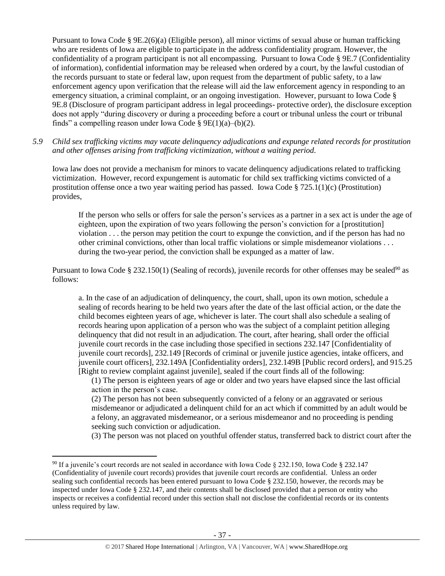Pursuant to Iowa Code § 9E.2(6)(a) (Eligible person), all minor victims of sexual abuse or human trafficking who are residents of Iowa are eligible to participate in the address confidentiality program. However, the confidentiality of a program participant is not all encompassing. Pursuant to Iowa Code § 9E.7 (Confidentiality of information), confidential information may be released when ordered by a court, by the lawful custodian of the records pursuant to state or federal law, upon request from the department of public safety, to a law enforcement agency upon verification that the release will aid the law enforcement agency in responding to an emergency situation, a criminal complaint, or an ongoing investigation. However, pursuant to Iowa Code § 9E.8 (Disclosure of program participant address in legal proceedings- protective order), the disclosure exception does not apply "during discovery or during a proceeding before a court or tribunal unless the court or tribunal finds" a compelling reason under Iowa Code § 9E(1)(a)–(b)(2).

*5.9 Child sex trafficking victims may vacate delinquency adjudications and expunge related records for prostitution and other offenses arising from trafficking victimization, without a waiting period.*

Iowa law does not provide a mechanism for minors to vacate delinquency adjudications related to trafficking victimization. However, record expungement is automatic for child sex trafficking victims convicted of a prostitution offense once a two year waiting period has passed. Iowa Code § 725.1(1)(c) (Prostitution) provides,

If the person who sells or offers for sale the person's services as a partner in a sex act is under the age of eighteen, upon the expiration of two years following the person's conviction for a [prostitution] violation . . . the person may petition the court to expunge the conviction, and if the person has had no other criminal convictions, other than local traffic violations or simple misdemeanor violations . . . during the two-year period, the conviction shall be expunged as a matter of law.

Pursuant to Iowa Code § 232.150(1) (Sealing of records), juvenile records for other offenses may be sealed<sup>90</sup> as follows:

a. In the case of an adjudication of delinquency, the court, shall, upon its own motion, schedule a sealing of records hearing to be held two years after the date of the last official action, or the date the child becomes eighteen years of age, whichever is later. The court shall also schedule a sealing of records hearing upon application of a person who was the subject of a complaint petition alleging delinquency that did not result in an adjudication. The court, after hearing, shall order the official juvenile court records in the case including those specified in sections 232.147 [Confidentiality of juvenile court records], 232.149 [Records of criminal or juvenile justice agencies, intake officers, and juvenile court officers], 232.149A [Confidentiality orders], 232.149B [Public record orders], and 915.25 [Right to review complaint against juvenile], sealed if the court finds all of the following:

(1) The person is eighteen years of age or older and two years have elapsed since the last official action in the person's case.

(2) The person has not been subsequently convicted of a felony or an aggravated or serious misdemeanor or adjudicated a delinquent child for an act which if committed by an adult would be a felony, an aggravated misdemeanor, or a serious misdemeanor and no proceeding is pending seeking such conviction or adjudication.

(3) The person was not placed on youthful offender status, transferred back to district court after the

<sup>90</sup> If a juvenile's court records are not sealed in accordance with Iowa Code § 232.150, Iowa Code § 232.147 (Confidentiality of juvenile court records) provides that juvenile court records are confidential. Unless an order sealing such confidential records has been entered pursuant to Iowa Code § 232.150, however, the records may be inspected under Iowa Code § 232.147, and their contents shall be disclosed provided that a person or entity who inspects or receives a confidential record under this section shall not disclose the confidential records or its contents unless required by law.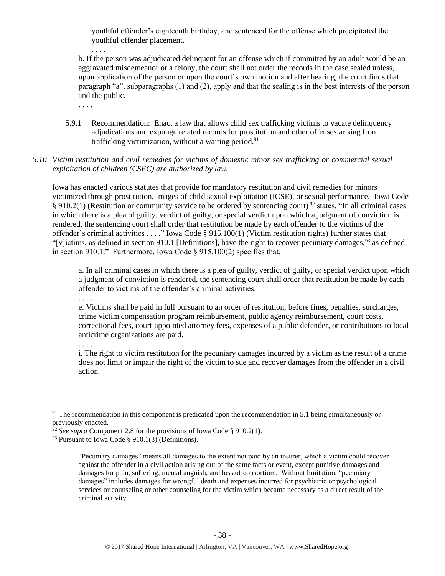youthful offender's eighteenth birthday, and sentenced for the offense which precipitated the youthful offender placement.

b. If the person was adjudicated delinquent for an offense which if committed by an adult would be an aggravated misdemeanor or a felony, the court shall not order the records in the case sealed unless, upon application of the person or upon the court's own motion and after hearing, the court finds that paragraph "a", subparagraphs (1) and (2), apply and that the sealing is in the best interests of the person and the public.

5.9.1 Recommendation: Enact a law that allows child sex trafficking victims to vacate delinquency adjudications and expunge related records for prostitution and other offenses arising from trafficking victimization, without a waiting period.<sup>91</sup>

## *5.10 Victim restitution and civil remedies for victims of domestic minor sex trafficking or commercial sexual exploitation of children (CSEC) are authorized by law.*

Iowa has enacted various statutes that provide for mandatory restitution and civil remedies for minors victimized through prostitution, images of child sexual exploitation (ICSE), or sexual performance. Iowa Code § 910.2(1) (Restitution or community service to be ordered by sentencing court) <sup>92</sup> states, "In all criminal cases in which there is a plea of guilty, verdict of guilty, or special verdict upon which a judgment of conviction is rendered, the sentencing court shall order that restitution be made by each offender to the victims of the offender's criminal activities . . . ." Iowa Code § 915.100(1) (Victim restitution rights) further states that "[v]ictims, as defined in section 910.1 [Definitions], have the right to recover pecuniary damages,  $93$  as defined in section 910.1." Furthermore, Iowa Code § 915.100(2) specifies that,

a. In all criminal cases in which there is a plea of guilty, verdict of guilty, or special verdict upon which a judgment of conviction is rendered, the sentencing court shall order that restitution be made by each offender to victims of the offender's criminal activities.

. . . .

. . . .

. . . .

e. Victims shall be paid in full pursuant to an order of restitution, before fines, penalties, surcharges, crime victim compensation program reimbursement, public agency reimbursement, court costs, correctional fees, court-appointed attorney fees, expenses of a public defender, or contributions to local anticrime organizations are paid.

. . . .

 $\overline{a}$ 

i. The right to victim restitution for the pecuniary damages incurred by a victim as the result of a crime does not limit or impair the right of the victim to sue and recover damages from the offender in a civil action.

<sup>&</sup>lt;sup>91</sup> The recommendation in this component is predicated upon the recommendation in 5.1 being simultaneously or previously enacted.

<sup>92</sup> *See supra* Component 2.8 for the provisions of Iowa Code § 910.2(1).

<sup>&</sup>lt;sup>93</sup> Pursuant to Iowa Code § 910.1(3) (Definitions),

<sup>&</sup>quot;Pecuniary damages" means all damages to the extent not paid by an insurer, which a victim could recover against the offender in a civil action arising out of the same facts or event, except punitive damages and damages for pain, suffering, mental anguish, and loss of consortium. Without limitation, "pecuniary damages" includes damages for wrongful death and expenses incurred for psychiatric or psychological services or counseling or other counseling for the victim which became necessary as a direct result of the criminal activity.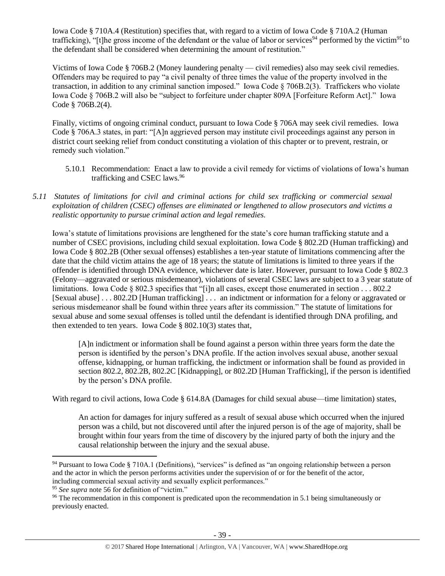Iowa Code § 710A.4 (Restitution) specifies that, with regard to a victim of Iowa Code § 710A.2 (Human trafficking), "[t]he gross income of the defendant or the value of labor or services<sup>94</sup> performed by the victim<sup>95</sup> to the defendant shall be considered when determining the amount of restitution."

Victims of Iowa Code § 706B.2 (Money laundering penalty — civil remedies) also may seek civil remedies. Offenders may be required to pay "a civil penalty of three times the value of the property involved in the transaction, in addition to any criminal sanction imposed." Iowa Code § 706B.2(3). Traffickers who violate Iowa Code § 706B.2 will also be "subject to forfeiture under chapter 809A [Forfeiture Reform Act]." Iowa Code § 706B.2(4).

Finally, victims of ongoing criminal conduct, pursuant to Iowa Code § 706A may seek civil remedies. Iowa Code § 706A.3 states, in part: "[A]n aggrieved person may institute civil proceedings against any person in district court seeking relief from conduct constituting a violation of this chapter or to prevent, restrain, or remedy such violation."

- 5.10.1 Recommendation: Enact a law to provide a civil remedy for victims of violations of Iowa's human trafficking and CSEC laws.<sup>96</sup>
- *5.11 Statutes of limitations for civil and criminal actions for child sex trafficking or commercial sexual exploitation of children (CSEC) offenses are eliminated or lengthened to allow prosecutors and victims a realistic opportunity to pursue criminal action and legal remedies.*

Iowa's statute of limitations provisions are lengthened for the state's core human trafficking statute and a number of CSEC provisions, including child sexual exploitation. Iowa Code § 802.2D (Human trafficking) and Iowa Code § 802.2B (Other sexual offenses) establishes a ten-year statute of limitations commencing after the date that the child victim attains the age of 18 years; the statute of limitations is limited to three years if the offender is identified through DNA evidence, whichever date is later. However, pursuant to Iowa Code § 802.3 (Felony—aggravated or serious misdemeanor), violations of several CSEC laws are subject to a 3 year statute of limitations. Iowa Code § 802.3 specifies that "[i]n all cases, except those enumerated in section . . . 802.2 [Sexual abuse] . . . 802.2D [Human trafficking] . . . an indictment or information for a felony or aggravated or serious misdemeanor shall be found within three years after its commission." The statute of limitations for sexual abuse and some sexual offenses is tolled until the defendant is identified through DNA profiling, and then extended to ten years. Iowa Code § 802.10(3) states that,

[A]n indictment or information shall be found against a person within three years form the date the person is identified by the person's DNA profile. If the action involves sexual abuse, another sexual offense, kidnapping, or human trafficking, the indictment or information shall be found as provided in section 802.2, 802.2B, 802.2C [Kidnapping], or 802.2D [Human Trafficking], if the person is identified by the person's DNA profile.

With regard to civil actions, Iowa Code § 614.8A (Damages for child sexual abuse—time limitation) states,

An action for damages for injury suffered as a result of sexual abuse which occurred when the injured person was a child, but not discovered until after the injured person is of the age of majority, shall be brought within four years from the time of discovery by the injured party of both the injury and the causal relationship between the injury and the sexual abuse.

 $94$  Pursuant to Iowa Code § 710A.1 (Definitions), "services" is defined as "an ongoing relationship between a person and the actor in which the person performs activities under the supervision of or for the benefit of the actor, including commercial sexual activity and sexually explicit performances."

<sup>95</sup> *See supra* note [56](#page-22-0) for definition of "victim."

<sup>&</sup>lt;sup>96</sup> The recommendation in this component is predicated upon the recommendation in 5.1 being simultaneously or previously enacted.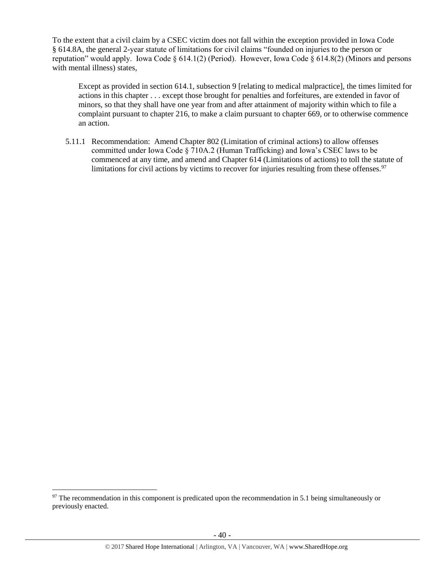To the extent that a civil claim by a CSEC victim does not fall within the exception provided in Iowa Code § 614.8A, the general 2-year statute of limitations for civil claims "founded on injuries to the person or reputation" would apply. Iowa Code  $\S 614.1(2)$  (Period). However, Iowa Code  $\S 614.8(2)$  (Minors and persons with mental illness) states,

Except as provided in section 614.1, subsection 9 [relating to medical malpractice], the times limited for actions in this chapter . . . except those brought for penalties and forfeitures, are extended in favor of minors, so that they shall have one year from and after attainment of majority within which to file a complaint pursuant to chapter 216, to make a claim pursuant to chapter 669, or to otherwise commence an action.

5.11.1 Recommendation: Amend Chapter 802 (Limitation of criminal actions) to allow offenses committed under Iowa Code § 710A.2 (Human Trafficking) and Iowa's CSEC laws to be commenced at any time, and amend and Chapter 614 (Limitations of actions) to toll the statute of limitations for civil actions by victims to recover for injuries resulting from these offenses.<sup>97</sup>

 $97$  The recommendation in this component is predicated upon the recommendation in 5.1 being simultaneously or previously enacted.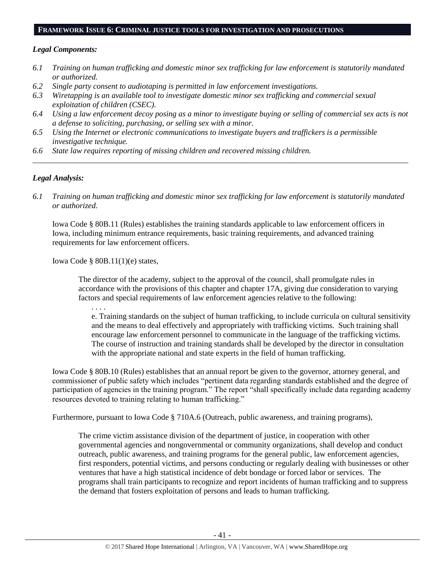#### **FRAMEWORK ISSUE 6: CRIMINAL JUSTICE TOOLS FOR INVESTIGATION AND PROSECUTIONS**

#### *Legal Components:*

- *6.1 Training on human trafficking and domestic minor sex trafficking for law enforcement is statutorily mandated or authorized.*
- *6.2 Single party consent to audiotaping is permitted in law enforcement investigations.*
- *6.3 Wiretapping is an available tool to investigate domestic minor sex trafficking and commercial sexual exploitation of children (CSEC).*
- *6.4 Using a law enforcement decoy posing as a minor to investigate buying or selling of commercial sex acts is not a defense to soliciting, purchasing, or selling sex with a minor.*

*\_\_\_\_\_\_\_\_\_\_\_\_\_\_\_\_\_\_\_\_\_\_\_\_\_\_\_\_\_\_\_\_\_\_\_\_\_\_\_\_\_\_\_\_\_\_\_\_\_\_\_\_\_\_\_\_\_\_\_\_\_\_\_\_\_\_\_\_\_\_\_\_\_\_\_\_\_\_\_\_\_\_\_\_\_\_\_\_\_\_\_\_\_\_*

- *6.5 Using the Internet or electronic communications to investigate buyers and traffickers is a permissible investigative technique.*
- *6.6 State law requires reporting of missing children and recovered missing children.*

## *Legal Analysis:*

*6.1 Training on human trafficking and domestic minor sex trafficking for law enforcement is statutorily mandated or authorized.*

Iowa Code § 80B.11 (Rules) establishes the training standards applicable to law enforcement officers in Iowa, including minimum entrance requirements, basic training requirements, and advanced training requirements for law enforcement officers.

Iowa Code § 80B.11(1)(e) states,

The director of the academy, subject to the approval of the council, shall promulgate rules in accordance with the provisions of this chapter and chapter 17A, giving due consideration to varying factors and special requirements of law enforcement agencies relative to the following:

. . . .

e. Training standards on the subject of human trafficking, to include curricula on cultural sensitivity and the means to deal effectively and appropriately with trafficking victims. Such training shall encourage law enforcement personnel to communicate in the language of the trafficking victims. The course of instruction and training standards shall be developed by the director in consultation with the appropriate national and state experts in the field of human trafficking.

Iowa Code § 80B.10 (Rules) establishes that an annual report be given to the governor, attorney general, and commissioner of public safety which includes "pertinent data regarding standards established and the degree of participation of agencies in the training program." The report "shall specifically include data regarding academy resources devoted to training relating to human trafficking."

Furthermore, pursuant to Iowa Code § 710A.6 (Outreach, public awareness, and training programs),

The crime victim assistance division of the department of justice, in cooperation with other governmental agencies and nongovernmental or community organizations, shall develop and conduct outreach, public awareness, and training programs for the general public, law enforcement agencies, first responders, potential victims, and persons conducting or regularly dealing with businesses or other ventures that have a high statistical incidence of debt bondage or forced labor or services. The programs shall train participants to recognize and report incidents of human trafficking and to suppress the demand that fosters exploitation of persons and leads to human trafficking.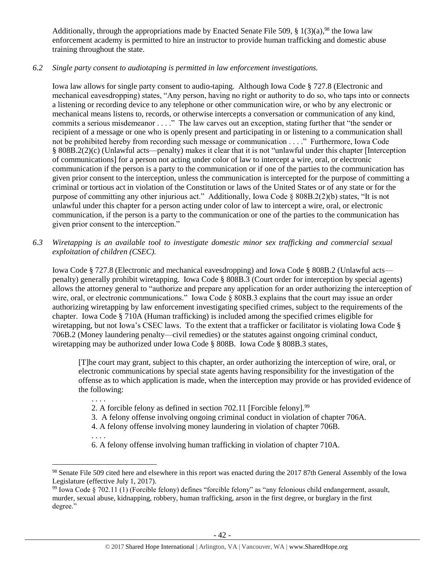Additionally, through the appropriations made by Enacted Senate File 509,  $\S$  1(3)(a),<sup>98</sup> the Iowa law enforcement academy is permitted to hire an instructor to provide human trafficking and domestic abuse training throughout the state.

# *6.2 Single party consent to audiotaping is permitted in law enforcement investigations.*

Iowa law allows for single party consent to audio-taping. Although Iowa Code § 727.8 (Electronic and mechanical eavesdropping) states, "Any person, having no right or authority to do so, who taps into or connects a listening or recording device to any telephone or other communication wire, or who by any electronic or mechanical means listens to, records, or otherwise intercepts a conversation or communication of any kind, commits a serious misdemeanor . . . ." The law carves out an exception, stating further that "the sender or recipient of a message or one who is openly present and participating in or listening to a communication shall not be prohibited hereby from recording such message or communication . . . ." Furthermore, Iowa Code § 808B.2(2)(c) (Unlawful acts—penalty) makes it clear that it is not "unlawful under this chapter [Interception of communications] for a person not acting under color of law to intercept a wire, oral, or electronic communication if the person is a party to the communication or if one of the parties to the communication has given prior consent to the interception, unless the communication is intercepted for the purpose of committing a criminal or tortious act in violation of the Constitution or laws of the United States or of any state or for the purpose of committing any other injurious act." Additionally, Iowa Code § 808B.2(2)(b) states, "It is not unlawful under this chapter for a person acting under color of law to intercept a wire, oral, or electronic communication, if the person is a party to the communication or one of the parties to the communication has given prior consent to the interception."

*6.3 Wiretapping is an available tool to investigate domestic minor sex trafficking and commercial sexual exploitation of children (CSEC).* 

Iowa Code § 727.8 (Electronic and mechanical eavesdropping) and Iowa Code § 808B.2 (Unlawful acts penalty) generally prohibit wiretapping. Iowa Code § 808B.3 (Court order for interception by special agents) allows the attorney general to "authorize and prepare any application for an order authorizing the interception of wire, oral, or electronic communications." Iowa Code § 808B.3 explains that the court may issue an order authorizing wiretapping by law enforcement investigating specified crimes, subject to the requirements of the chapter. Iowa Code § 710A (Human trafficking) is included among the specified crimes eligible for wiretapping, but not Iowa's CSEC laws. To the extent that a trafficker or facilitator is violating Iowa Code § 706B.2 (Money laundering penalty—civil remedies) or the statutes against ongoing criminal conduct, wiretapping may be authorized under Iowa Code § 808B. Iowa Code § 808B.3 states,

[T]he court may grant, subject to this chapter, an order authorizing the interception of wire, oral, or electronic communications by special state agents having responsibility for the investigation of the offense as to which application is made, when the interception may provide or has provided evidence of the following:

- 2. A forcible felony as defined in section 702.11 [Forcible felony].<sup>99</sup>
- 3. A felony offense involving ongoing criminal conduct in violation of chapter 706A.
- 4. A felony offense involving money laundering in violation of chapter 706B.
- . . . .

 $\overline{a}$ 

. . . .

6. A felony offense involving human trafficking in violation of chapter 710A.

<sup>&</sup>lt;sup>98</sup> Senate File 509 cited here and elsewhere in this report was enacted during the 2017 87th General Assembly of the Iowa Legislature (effective July 1, 2017).

<sup>99</sup> Iowa Code § 702.11 (1) (Forcible felony) defines "forcible felony" as "any felonious child endangerment, assault, murder, sexual abuse, kidnapping, robbery, human trafficking, arson in the first degree, or burglary in the first degree."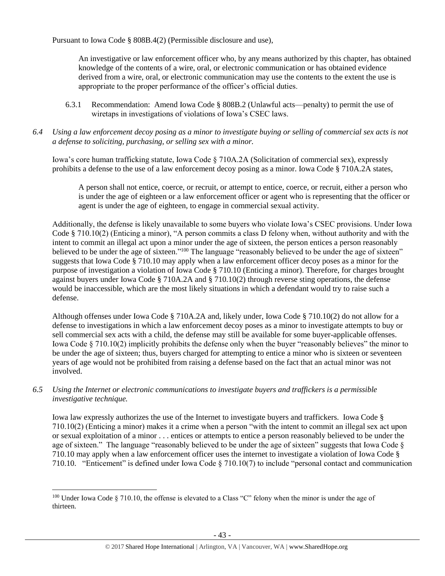Pursuant to Iowa Code § 808B.4(2) (Permissible disclosure and use),

An investigative or law enforcement officer who, by any means authorized by this chapter, has obtained knowledge of the contents of a wire, oral, or electronic communication or has obtained evidence derived from a wire, oral, or electronic communication may use the contents to the extent the use is appropriate to the proper performance of the officer's official duties.

- 6.3.1 Recommendation: Amend Iowa Code § 808B.2 (Unlawful acts—penalty) to permit the use of wiretaps in investigations of violations of Iowa's CSEC laws.
- *6.4 Using a law enforcement decoy posing as a minor to investigate buying or selling of commercial sex acts is not a defense to soliciting, purchasing, or selling sex with a minor.*

Iowa's core human trafficking statute, Iowa Code § 710A.2A (Solicitation of commercial sex), expressly prohibits a defense to the use of a law enforcement decoy posing as a minor. Iowa Code § 710A.2A states,

A person shall not entice, coerce, or recruit, or attempt to entice, coerce, or recruit, either a person who is under the age of eighteen or a law enforcement officer or agent who is representing that the officer or agent is under the age of eighteen, to engage in commercial sexual activity.

Additionally, the defense is likely unavailable to some buyers who violate Iowa's CSEC provisions. Under Iowa Code § 710.10(2) (Enticing a minor), "A person commits a class D felony when, without authority and with the intent to commit an illegal act upon a minor under the age of sixteen, the person entices a person reasonably believed to be under the age of sixteen."<sup>100</sup> The language "reasonably believed to be under the age of sixteen" suggests that Iowa Code § 710.10 may apply when a law enforcement officer decoy poses as a minor for the purpose of investigation a violation of Iowa Code § 710.10 (Enticing a minor). Therefore, for charges brought against buyers under Iowa Code § 710A.2A and § 710.10(2) through reverse sting operations, the defense would be inaccessible, which are the most likely situations in which a defendant would try to raise such a defense.

Although offenses under Iowa Code § 710A.2A and, likely under, Iowa Code § 710.10(2) do not allow for a defense to investigations in which a law enforcement decoy poses as a minor to investigate attempts to buy or sell commercial sex acts with a child, the defense may still be available for some buyer-applicable offenses. Iowa Code § 710.10(2) implicitly prohibits the defense only when the buyer "reasonably believes" the minor to be under the age of sixteen; thus, buyers charged for attempting to entice a minor who is sixteen or seventeen years of age would not be prohibited from raising a defense based on the fact that an actual minor was not involved.

*6.5 Using the Internet or electronic communications to investigate buyers and traffickers is a permissible investigative technique.*

Iowa law expressly authorizes the use of the Internet to investigate buyers and traffickers. Iowa Code § 710.10(2) (Enticing a minor) makes it a crime when a person "with the intent to commit an illegal sex act upon or sexual exploitation of a minor . . . entices or attempts to entice a person reasonably believed to be under the age of sixteen." The language "reasonably believed to be under the age of sixteen" suggests that Iowa Code § 710.10 may apply when a law enforcement officer uses the internet to investigate a violation of Iowa Code § 710.10. "Enticement" is defined under Iowa Code § 710.10(7) to include "personal contact and communication

<sup>100</sup> Under Iowa Code § 710.10, the offense is elevated to a Class "C" felony when the minor is under the age of thirteen.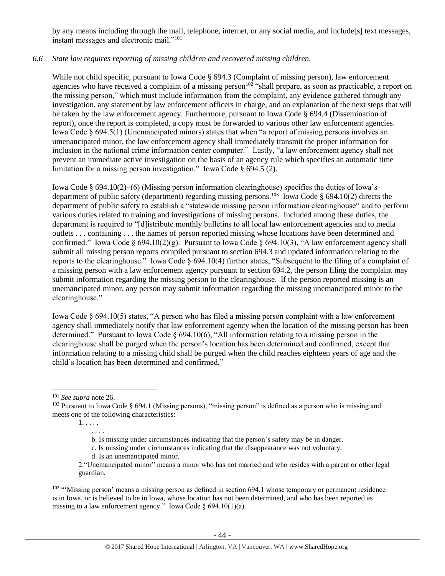by any means including through the mail, telephone, internet, or any social media, and include[s] text messages, instant messages and electronic mail."<sup>101</sup>

## *6.6 State law requires reporting of missing children and recovered missing children.*

While not child specific, pursuant to Iowa Code § 694.3 (Complaint of missing person), law enforcement agencies who have received a complaint of a missing person<sup> $102$ </sup> "shall prepare, as soon as practicable, a report on the missing person," which must include information from the complaint, any evidence gathered through any investigation, any statement by law enforcement officers in charge, and an explanation of the next steps that will be taken by the law enforcement agency. Furthermore, pursuant to Iowa Code § 694.4 (Dissemination of report), once the report is completed, a copy must be forwarded to various other law enforcement agencies. Iowa Code § 694.5(1) (Unemancipated minors) states that when "a report of missing persons involves an umenancipated minor, the law enforcement agency shall immediately transmit the proper information for inclusion in the national crime information center computer." Lastly, "a law enforcement agency shall not prevent an immediate active investigation on the basis of an agency rule which specifies an automatic time limitation for a missing person investigation." Iowa Code § 694.5 (2).

Iowa Code § 694.10(2)–(6) (Missing person information clearinghouse) specifies the duties of Iowa's department of public safety (department) regarding missing persons.<sup>103</sup> Iowa Code § 694.10(2) directs the department of public safety to establish a "statewide missing person information clearinghouse" and to perform various duties related to training and investigations of missing persons. Included among these duties, the department is required to "[d]istribute monthly bulletins to all local law enforcement agencies and to media outlets . . . containing . . . the names of person reported missing whose locations have been determined and confirmed." Iowa Code § 694.10(2)(g). Pursuant to Iowa Code § 694.10(3), "A law enforcement agency shall submit all missing person reports compiled pursuant to section 694.3 and updated information relating to the reports to the clearinghouse." Iowa Code § 694.10(4) further states, "Subsequent to the filing of a complaint of a missing person with a law enforcement agency pursuant to section 694.2, the person filing the complaint may submit information regarding the missing person to the clearinghouse. If the person reported missing is an unemancipated minor, any person may submit information regarding the missing unemancipated minor to the clearinghouse."

Iowa Code § 694.10(5) states, "A person who has filed a missing person complaint with a law enforcement agency shall immediately notify that law enforcement agency when the location of the missing person has been determined." Pursuant to Iowa Code § 694.10(6), "All information relating to a missing person in the clearinghouse shall be purged when the person's location has been determined and confirmed, except that information relating to a missing child shall be purged when the child reaches eighteen years of age and the child's location has been determined and confirmed."

1. . . . . . . . .

<sup>103</sup> "'Missing person' means a missing person as defined in section 694.1 whose temporary or permanent residence is in Iowa, or is believed to be in Iowa, whose location has not been determined, and who has been reported as missing to a law enforcement agency." Iowa Code §  $694.10(1)(a)$ .

 $\overline{a}$ <sup>101</sup> *See supra* not[e 26.](#page-12-0)

<sup>102</sup> Pursuant to Iowa Code § 694.1 (Missing persons), "missing person" is defined as a person who is missing and meets one of the following characteristics:

b. Is missing under circumstances indicating that the person's safety may be in danger.

c. Is missing under circumstances indicating that the disappearance was not voluntary.

d. Is an unemancipated minor.

<sup>2.&</sup>quot;Unemancipated minor" means a minor who has not married and who resides with a parent or other legal guardian.